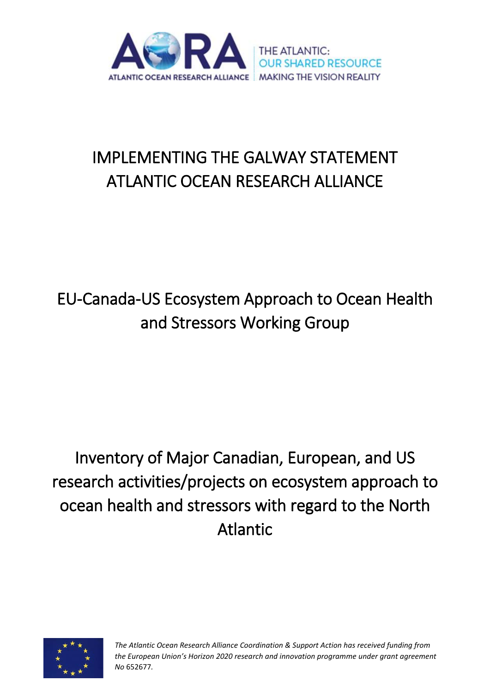

# IMPLEMENTING THE GALWAY STATEMENT ATLANTIC OCEAN RESEARCH ALLIANCE

# EU-Canada-US Ecosystem Approach to Ocean Health and Stressors Working Group

Inventory of Major Canadian, European, and US research activities/projects on ecosystem approach to ocean health and stressors with regard to the North Atlantic



*The Atlantic Ocean Research Alliance Coordination & Support Action has received funding from the European Union's Horizon 2020 research and innovation programme under grant agreement No* 652677*.*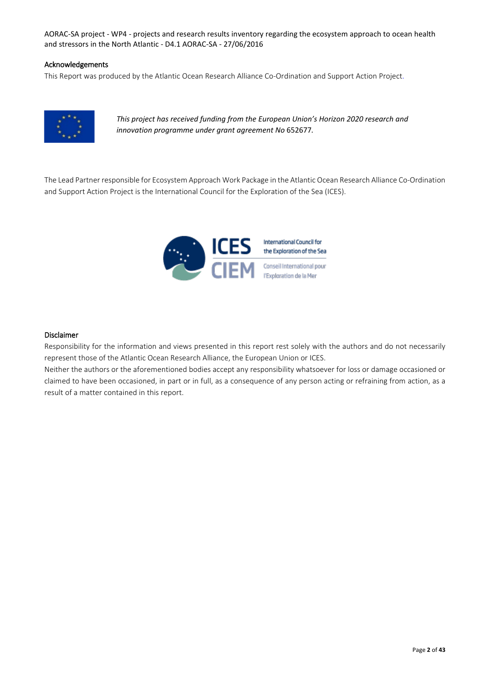#### Acknowledgements

This Report was produced by the Atlantic Ocean Research Alliance Co-Ordination and Support Action Project.



*This project has received funding from the European Union's Horizon 2020 research and innovation programme under grant agreement No* 652677*.*

The Lead Partner responsible for Ecosystem Approach Work Package in the Atlantic Ocean Research Alliance Co-Ordination and Support Action Project is the International Council for the Exploration of the Sea (ICES).



#### Disclaimer

Responsibility for the information and views presented in this report rest solely with the authors and do not necessarily represent those of the Atlantic Ocean Research Alliance, the European Union or ICES.

Neither the authors or the aforementioned bodies accept any responsibility whatsoever for loss or damage occasioned or claimed to have been occasioned, in part or in full, as a consequence of any person acting or refraining from action, as a result of a matter contained in this report.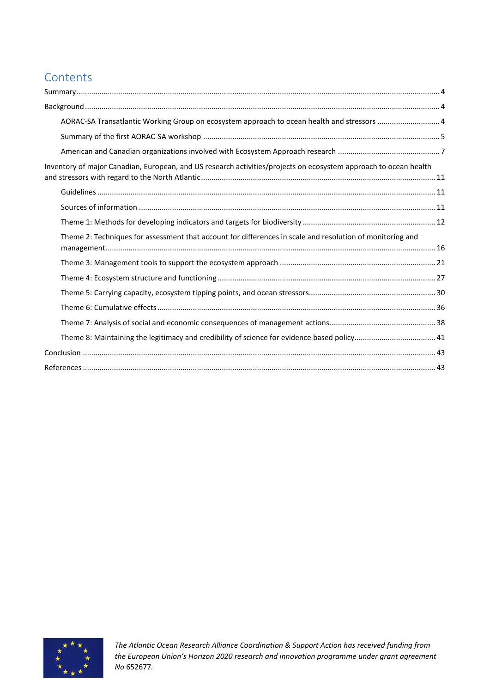# **Contents**

| AORAC-SA Transatlantic Working Group on ecosystem approach to ocean health and stressors  4                      |  |
|------------------------------------------------------------------------------------------------------------------|--|
|                                                                                                                  |  |
|                                                                                                                  |  |
| Inventory of major Canadian, European, and US research activities/projects on ecosystem approach to ocean health |  |
|                                                                                                                  |  |
|                                                                                                                  |  |
|                                                                                                                  |  |
| Theme 2: Techniques for assessment that account for differences in scale and resolution of monitoring and        |  |
|                                                                                                                  |  |
|                                                                                                                  |  |
|                                                                                                                  |  |
|                                                                                                                  |  |
|                                                                                                                  |  |
| Theme 8: Maintaining the legitimacy and credibility of science for evidence based policy 41                      |  |
|                                                                                                                  |  |
|                                                                                                                  |  |

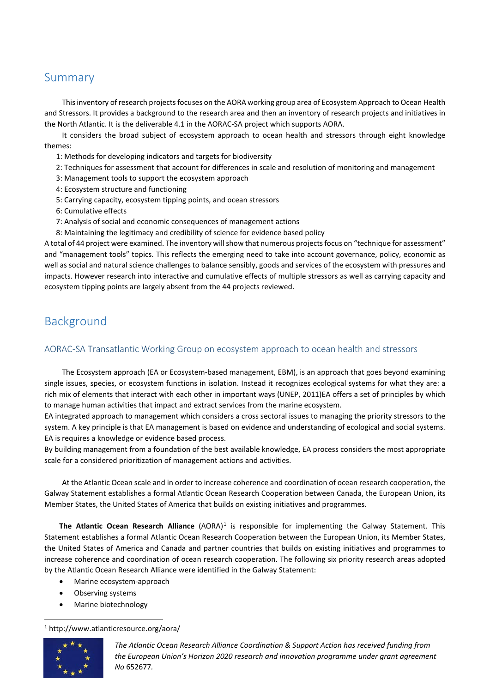# <span id="page-3-0"></span>Summary

This inventory of research projects focuses on the AORA working group area of Ecosystem Approach to Ocean Health and Stressors. It provides a background to the research area and then an inventory of research projects and initiatives in the North Atlantic. It is the deliverable 4.1 in the AORAC-SA project which supports AORA.

It considers the broad subject of ecosystem approach to ocean health and stressors through eight knowledge themes:

- 1: Methods for developing indicators and targets for biodiversity
- 2: Techniques for assessment that account for differences in scale and resolution of monitoring and management
- 3: Management tools to support the ecosystem approach
- 4: Ecosystem structure and functioning
- 5: Carrying capacity, ecosystem tipping points, and ocean stressors
- 6: Cumulative effects
- 7: Analysis of social and economic consequences of management actions
- 8: Maintaining the legitimacy and credibility of science for evidence based policy

A total of 44 project were examined. The inventory will show that numerous projects focus on "technique for assessment" and "management tools" topics. This reflects the emerging need to take into account governance, policy, economic as well as social and natural science challenges to balance sensibly, goods and services of the ecosystem with pressures and impacts. However research into interactive and cumulative effects of multiple stressors as well as carrying capacity and ecosystem tipping points are largely absent from the 44 projects reviewed.

# <span id="page-3-1"></span>Background

### <span id="page-3-2"></span>AORAC-SA Transatlantic Working Group on ecosystem approach to ocean health and stressors

The Ecosystem approach (EA or Ecosystem-based management, EBM), is an approach that goes beyond examining single issues, species, or ecosystem functions in isolation. Instead it recognizes ecological systems for what they are: a rich mix of elements that interact with each other in important ways (UNEP, 2011)EA offers a set of principles by which to manage human activities that impact and extract services from the marine ecosystem.

EA integrated approach to management which considers a cross sectoral issues to managing the priority stressors to the system. A key principle is that EA management is based on evidence and understanding of ecological and social systems. EA is requires a knowledge or evidence based process.

By building management from a foundation of the best available knowledge, EA process considers the most appropriate scale for a considered prioritization of management actions and activities.

At the Atlantic Ocean scale and in order to increase coherence and coordination of ocean research cooperation, the Galway Statement establishes a formal Atlantic Ocean Research Cooperation between Canada, the European Union, its Member States, the United States of America that builds on existing initiatives and programmes.

The Atlantic Ocean Research Alliance (AORA)<sup>[1](#page-3-3)</sup> is responsible for implementing the Galway Statement. This Statement establishes a formal Atlantic Ocean Research Cooperation between the European Union, its Member States, the United States of America and Canada and partner countries that builds on existing initiatives and programmes to increase coherence and coordination of ocean research cooperation. The following six priority research areas adopted by the Atlantic Ocean Research Alliance were identified in the Galway Statement:

- Marine ecosystem-approach
- Observing systems
- Marine biotechnology

#### 1 http://www.atlanticresource.org/aora/

<span id="page-3-3"></span>

*The Atlantic Ocean Research Alliance Coordination & Support Action has received funding from the European Union's Horizon 2020 research and innovation programme under grant agreement No* 652677*.*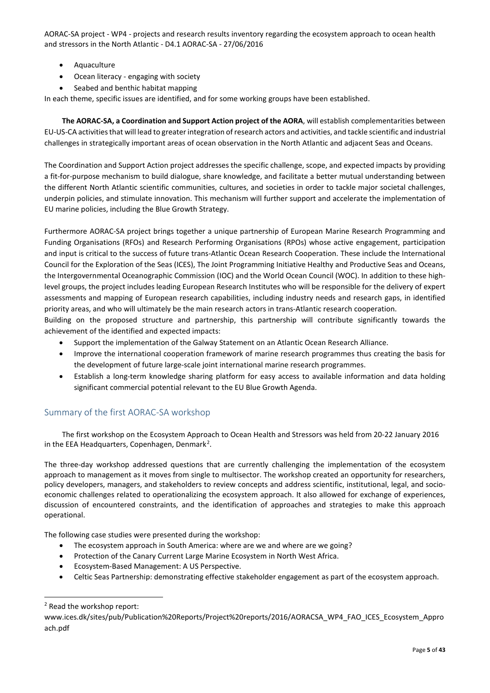- Aquaculture
- Ocean literacy engaging with society
- Seabed and benthic habitat mapping

In each theme, specific issues are identified, and for some working groups have been established.

**The AORAC-SA, a Coordination and Support Action project of the AORA**, will establish complementarities between EU-US-CA activities that will lead to greater integration of research actors and activities, and tackle scientific and industrial challenges in strategically important areas of ocean observation in the North Atlantic and adjacent Seas and Oceans.

The Coordination and Support Action project addresses the specific challenge, scope, and expected impacts by providing a fit-for-purpose mechanism to build dialogue, share knowledge, and facilitate a better mutual understanding between the different North Atlantic scientific communities, cultures, and societies in order to tackle major societal challenges, underpin policies, and stimulate innovation. This mechanism will further support and accelerate the implementation of EU marine policies, including the Blue Growth Strategy.

Furthermore AORAC-SA project brings together a unique partnership of European Marine Research Programming and Funding Organisations (RFOs) and Research Performing Organisations (RPOs) whose active engagement, participation and input is critical to the success of future trans-Atlantic Ocean Research Cooperation. These include the International Council for the Exploration of the Seas (ICES), The Joint Programming Initiative Healthy and Productive Seas and Oceans, the Intergovernmental Oceanographic Commission (IOC) and the World Ocean Council (WOC). In addition to these highlevel groups, the project includes leading European Research Institutes who will be responsible for the delivery of expert assessments and mapping of European research capabilities, including industry needs and research gaps, in identified priority areas, and who will ultimately be the main research actors in trans-Atlantic research cooperation.

Building on the proposed structure and partnership, this partnership will contribute significantly towards the achievement of the identified and expected impacts:

- Support the implementation of the Galway Statement on an Atlantic Ocean Research Alliance.
- Improve the international cooperation framework of marine research programmes thus creating the basis for the development of future large-scale joint international marine research programmes.
- Establish a long-term knowledge sharing platform for easy access to available information and data holding significant commercial potential relevant to the EU Blue Growth Agenda.

### <span id="page-4-0"></span>Summary of the first AORAC-SA workshop

The first workshop on the Ecosystem Approach to Ocean Health and Stressors was held from 20-22 January 2016 in the EEA Headquarters, Copenhagen, Denmark<sup>[2](#page-4-1)</sup>.

The three-day workshop addressed questions that are currently challenging the implementation of the ecosystem approach to management as it moves from single to multisector. The workshop created an opportunity for researchers, policy developers, managers, and stakeholders to review concepts and address scientific, institutional, legal, and socioeconomic challenges related to operationalizing the ecosystem approach. It also allowed for exchange of experiences, discussion of encountered constraints, and the identification of approaches and strategies to make this approach operational.

The following case studies were presented during the workshop:

- The ecosystem approach in South America: where are we and where are we going?
- Protection of the Canary Current Large Marine Ecosystem in North West Africa.
- Ecosystem-Based Management: A US Perspective.
- Celtic Seas Partnership: demonstrating effective stakeholder engagement as part of the ecosystem approach.

<span id="page-4-1"></span> <sup>2</sup> Read the workshop report:

www.ices.dk/sites/pub/Publication%20Reports/Project%20reports/2016/AORACSA\_WP4\_FAO\_ICES\_Ecosystem\_Appro ach.pdf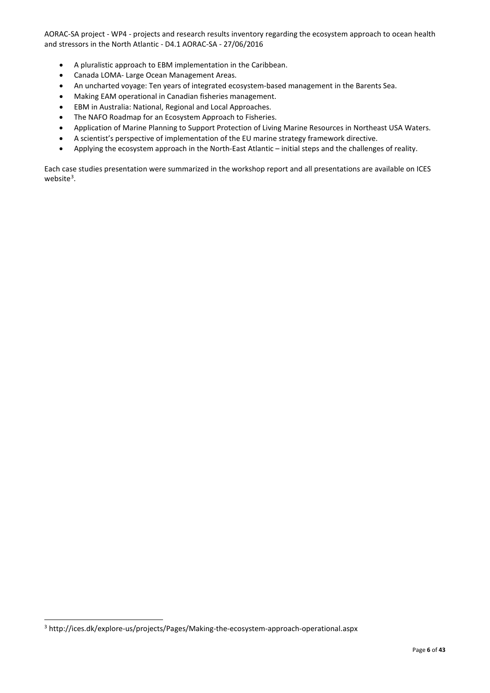- A pluralistic approach to EBM implementation in the Caribbean.
- Canada LOMA- Large Ocean Management Areas.
- An uncharted voyage: Ten years of integrated ecosystem-based management in the Barents Sea.
- Making EAM operational in Canadian fisheries management.
- EBM in Australia: National, Regional and Local Approaches.
- The NAFO Roadmap for an Ecosystem Approach to Fisheries.
- Application of Marine Planning to Support Protection of Living Marine Resources in Northeast USA Waters.
- A scientist's perspective of implementation of the EU marine strategy framework directive.
- Applying the ecosystem approach in the North-East Atlantic initial steps and the challenges of reality.

Each case studies presentation were summarized in the workshop report and all presentations are available on ICES website<sup>[3](#page-5-0)</sup>.

<span id="page-5-0"></span> <sup>3</sup> http://ices.dk/explore-us/projects/Pages/Making-the-ecosystem-approach-operational.aspx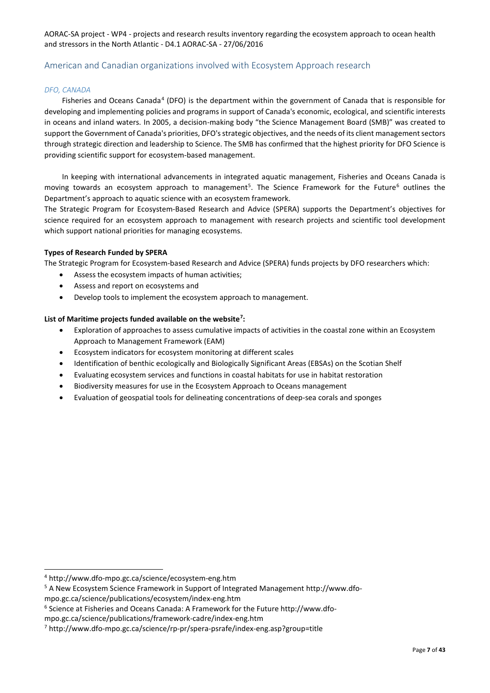#### <span id="page-6-0"></span>American and Canadian organizations involved with Ecosystem Approach research

#### *DFO, CANADA*

Fisheries and Oceans Canada<sup>[4](#page-6-1)</sup> (DFO) is the department within the government of Canada that is responsible for developing and implementing policies and programs in support of Canada's economic, ecological, and scientific interests in oceans and inland waters. In 2005, a decision-making body "the Science Management Board (SMB)" was created to support the Government of Canada's priorities, DFO's strategic objectives, and the needs of its client management sectors through strategic direction and leadership to Science. The SMB has confirmed that the highest priority for DFO Science is providing scientific support for ecosystem-based management.

In keeping with international advancements in integrated aquatic management, Fisheries and Oceans Canada is moving towards an ecosystem approach to management<sup>[5](#page-6-2)</sup>. The Science Framework for the Future<sup>[6](#page-6-3)</sup> outlines the Department's approach to aquatic science with an ecosystem framework.

The Strategic Program for Ecosystem-Based Research and Advice (SPERA) supports the Department's objectives for science required for an ecosystem approach to management with research projects and scientific tool development which support national priorities for managing ecosystems.

#### **Types of Research Funded by SPERA**

The Strategic Program for Ecosystem-based Research and Advice (SPERA) funds projects by DFO researchers which:

- Assess the ecosystem impacts of human activities;
- Assess and report on ecosystems and
- Develop tools to implement the ecosystem approach to management.

#### **List of Maritime projects funded available on the website[7](#page-6-4) :**

- Exploration of approaches to assess cumulative impacts of activities in the coastal zone within an Ecosystem Approach to Management Framework (EAM)
- Ecosystem indicators for ecosystem monitoring at different scales
- Identification of benthic ecologically and Biologically Significant Areas (EBSAs) on the Scotian Shelf
- Evaluating ecosystem services and functions in coastal habitats for use in habitat restoration
- Biodiversity measures for use in the Ecosystem Approach to Oceans management
- Evaluation of geospatial tools for delineating concentrations of deep-sea corals and sponges

<span id="page-6-1"></span> <sup>4</sup> http://www.dfo-mpo.gc.ca/science/ecosystem-eng.htm

<span id="page-6-2"></span><sup>5</sup> A New Ecosystem Science Framework in Support of Integrated Management http://www.dfompo.gc.ca/science/publications/ecosystem/index-eng.htm

<span id="page-6-3"></span><sup>6</sup> Science at Fisheries and Oceans Canada: A Framework for the Future http://www.dfo-

mpo.gc.ca/science/publications/framework-cadre/index-eng.htm

<span id="page-6-4"></span><sup>7</sup> http://www.dfo-mpo.gc.ca/science/rp-pr/spera-psrafe/index-eng.asp?group=title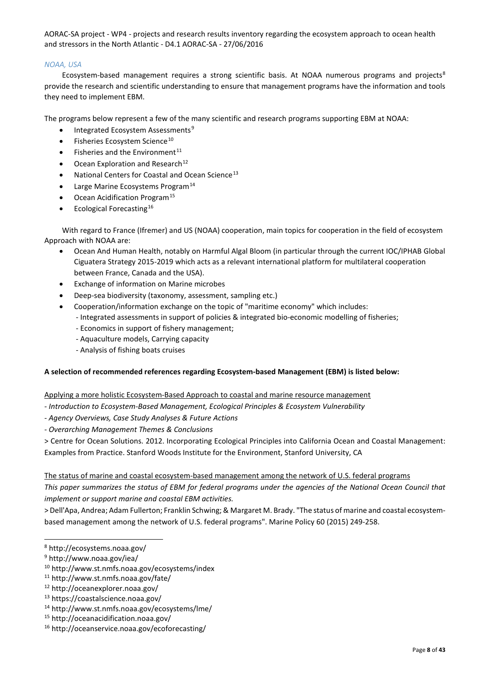#### *NOAA, USA*

Ecosystem-based management requires a strong scientific basis. At NOAA numerous programs and projects<sup>[8](#page-7-0)</sup> provide the research and scientific understanding to ensure that management programs have the information and tools they need to implement EBM.

The programs below represent a few of the many scientific and research programs supporting EBM at NOAA:

- Integrated Ecosystem Assessments<sup>[9](#page-7-1)</sup>
- $\bullet$  Fisheries Ecosystem Science<sup>[10](#page-7-2)</sup>
- Fisheries and the Environment $^{11}$  $^{11}$  $^{11}$
- Ocean Exploration and Research<sup>[12](#page-7-4)</sup>
- National Centers for Coastal and Ocean Science<sup>[13](#page-7-5)</sup>
- Large Marine Ecosystems Program<sup>[14](#page-7-6)</sup>
- $\bullet$  Ocean Acidification Program<sup>[15](#page-7-7)</sup>
- $\bullet$  Ecological Forecasting<sup>[16](#page-7-8)</sup>

With regard to France (Ifremer) and US (NOAA) cooperation, main topics for cooperation in the field of ecosystem Approach with NOAA are:

- Ocean And Human Health, notably on Harmful Algal Bloom (in particular through the current IOC/IPHAB Global Ciguatera Strategy 2015-2019 which acts as a relevant international platform for multilateral cooperation between France, Canada and the USA).
- Exchange of information on Marine microbes
- Deep-sea biodiversity (taxonomy, assessment, sampling etc.)
- Cooperation/information exchange on the topic of "maritime economy" which includes:
	- Integrated assessments in support of policies & integrated bio-economic modelling of fisheries;
	- Economics in support of fishery management;
	- Aquaculture models, Carrying capacity
	- Analysis of fishing boats cruises

#### **A selection of recommended references regarding Ecosystem-based Management (EBM) is listed below:**

#### Applying a more holistic Ecosystem-Based Approach to coastal and marine resource management

- *- Introduction to Ecosystem-Based Management, Ecological Principles & Ecosystem Vulnerability*
- *- Agency Overviews, Case Study Analyses & Future Actions*
- *- Overarching Management Themes & Conclusions*
- > Centre for Ocean Solutions. 2012. Incorporating Ecological Principles into California Ocean and Coastal Management:

Examples from Practice. Stanford Woods Institute for the Environment, Stanford University, CA

The status of marine and coastal ecosystem-based management among the network of U.S. federal programs

*This paper summarizes the status of EBM for federal programs under the agencies of the National Ocean Council that implement or support marine and coastal EBM activities.*

> Dell'Apa, Andrea; Adam Fullerton; Franklin Schwing; & Margaret M. Brady. "The status of marine and coastal ecosystembased management among the network of U.S. federal programs". Marine Policy 60 (2015) 249-258.

<span id="page-7-0"></span> <sup>8</sup> http://ecosystems.noaa.gov/

<span id="page-7-1"></span><sup>9</sup> http://www.noaa.gov/iea/

<span id="page-7-2"></span><sup>10</sup> http://www.st.nmfs.noaa.gov/ecosystems/index

<span id="page-7-3"></span><sup>11</sup> http://www.st.nmfs.noaa.gov/fate/

<span id="page-7-4"></span><sup>12</sup> http://oceanexplorer.noaa.gov/

<span id="page-7-5"></span><sup>13</sup> https://coastalscience.noaa.gov/

<span id="page-7-6"></span><sup>14</sup> http://www.st.nmfs.noaa.gov/ecosystems/lme/

<span id="page-7-7"></span><sup>15</sup> http://oceanacidification.noaa.gov/

<span id="page-7-8"></span><sup>16</sup> http://oceanservice.noaa.gov/ecoforecasting/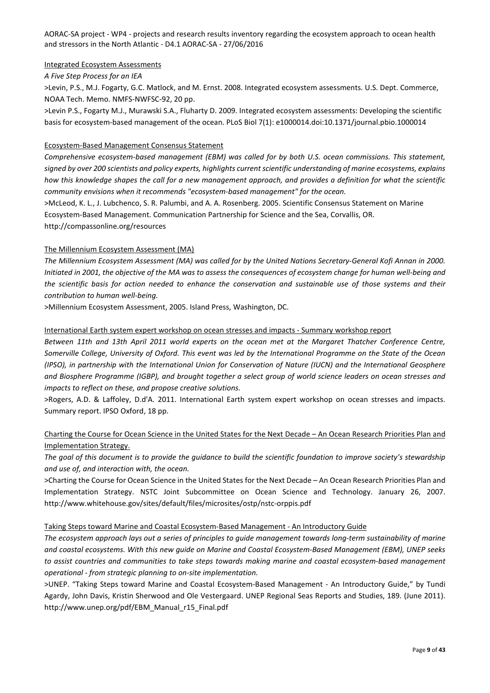Integrated Ecosystem Assessments

*A Five Step Process for an IEA*

>Levin, P.S., M.J. Fogarty, G.C. Matlock, and M. Ernst. 2008. Integrated ecosystem assessments. U.S. Dept. Commerce, NOAA Tech. Memo. NMFS-NWFSC-92, 20 pp.

>Levin P.S., Fogarty M.J., Murawski S.A., Fluharty D. 2009. Integrated ecosystem assessments: Developing the scientific basis for ecosystem-based management of the ocean. PLoS Biol 7(1): e1000014.doi:10.1371/journal.pbio.1000014

#### Ecosystem-Based Management Consensus Statement

*Comprehensive ecosystem-based management (EBM) was called for by both U.S. ocean commissions. This statement, signed by over 200 scientists and policy experts, highlights current scientific understanding of marine ecosystems, explains how this knowledge shapes the call for a new management approach, and provides a definition for what the scientific community envisions when it recommends "ecosystem-based management" for the ocean.*

>McLeod, K. L., J. Lubchenco, S. R. Palumbi, and A. A. Rosenberg. 2005. Scientific Consensus Statement on Marine Ecosystem-Based Management. Communication Partnership for Science and the Sea, Corvallis, OR. http://compassonline.org/resources

#### The Millennium Ecosystem Assessment (MA)

*The Millennium Ecosystem Assessment (MA) was called for by the United Nations Secretary-General Kofi Annan in 2000. Initiated in 2001, the objective of the MA was to assess the consequences of ecosystem change for human well-being and the scientific basis for action needed to enhance the conservation and sustainable use of those systems and their contribution to human well-being.*

>Millennium Ecosystem Assessment, 2005. Island Press, Washington, DC.

#### International Earth system expert workshop on ocean stresses and impacts - Summary workshop report

*Between 11th and 13th April 2011 world experts on the ocean met at the Margaret Thatcher Conference Centre, Somerville College, University of Oxford. This event was led by the International Programme on the State of the Ocean (IPSO), in partnership with the International Union for Conservation of Nature (IUCN) and the International Geosphere and Biosphere Programme (IGBP), and brought together a select group of world science leaders on ocean stresses and impacts to reflect on these, and propose creative solutions.*

>Rogers, A.D. & Laffoley, D.d'A. 2011. International Earth system expert workshop on ocean stresses and impacts. Summary report. IPSO Oxford, 18 pp.

#### Charting the Course for Ocean Science in the United States for the Next Decade – An Ocean Research Priorities Plan and Implementation Strategy.

*The goal of this document is to provide the guidance to build the scientific foundation to improve society's stewardship and use of, and interaction with, the ocean.*

>Charting the Course for Ocean Science in the United States for the Next Decade – An Ocean Research Priorities Plan and Implementation Strategy. NSTC Joint Subcommittee on Ocean Science and Technology. January 26, 2007. http://www.whitehouse.gov/sites/default/files/microsites/ostp/nstc-orppis.pdf

#### Taking Steps toward Marine and Coastal Ecosystem-Based Management - An Introductory Guide

*The ecosystem approach lays out a series of principles to guide management towards long-term sustainability of marine and coastal ecosystems. With this new guide on Marine and Coastal Ecosystem-Based Management (EBM), UNEP seeks to assist countries and communities to take steps towards making marine and coastal ecosystem-based management operational - from strategic planning to on-site implementation.*

>UNEP. "Taking Steps toward Marine and Coastal Ecosystem-Based Management - An Introductory Guide," by Tundi Agardy, John Davis, Kristin Sherwood and Ole Vestergaard. UNEP Regional Seas Reports and Studies, 189. (June 2011). http://www.unep.org/pdf/EBM\_Manual\_r15\_Final.pdf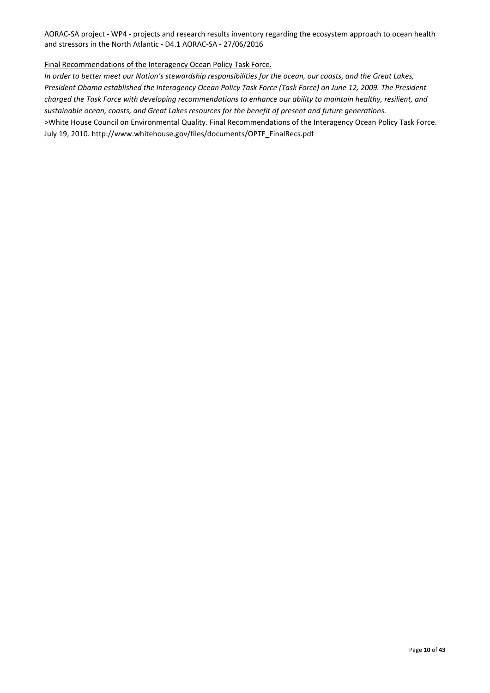#### Final Recommendations of the Interagency Ocean Policy Task Force.

*In order to better meet our Nation's stewardship responsibilities for the ocean, our coasts, and the Great Lakes, President Obama established the Interagency Ocean Policy Task Force (Task Force) on June 12, 2009. The President charged the Task Force with developing recommendations to enhance our ability to maintain healthy, resilient, and sustainable ocean, coasts, and Great Lakes resources for the benefit of present and future generations.* >White House Council on Environmental Quality. Final Recommendations of the Interagency Ocean Policy Task Force. July 19, 2010. http://www.whitehouse.gov/files/documents/OPTF\_FinalRecs.pdf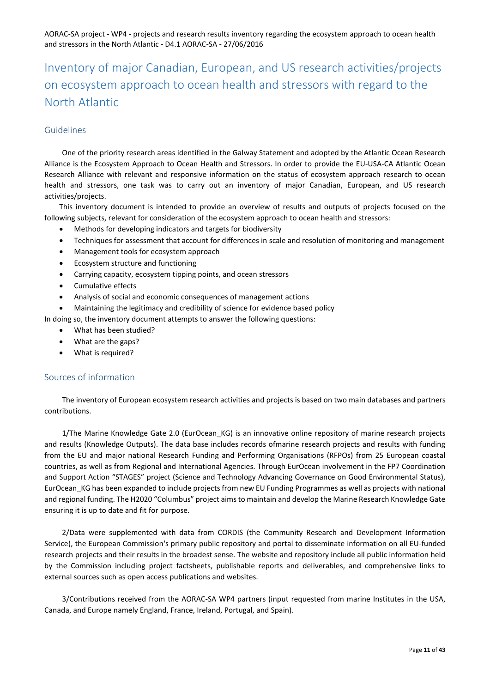# <span id="page-10-0"></span>Inventory of major Canadian, European, and US research activities/projects on ecosystem approach to ocean health and stressors with regard to the North Atlantic

### <span id="page-10-1"></span>Guidelines

One of the priority research areas identified in the Galway Statement and adopted by the Atlantic Ocean Research Alliance is the Ecosystem Approach to Ocean Health and Stressors. In order to provide the EU-USA-CA Atlantic Ocean Research Alliance with relevant and responsive information on the status of ecosystem approach research to ocean health and stressors, one task was to carry out an inventory of major Canadian, European, and US research activities/projects.

This inventory document is intended to provide an overview of results and outputs of projects focused on the following subjects, relevant for consideration of the ecosystem approach to ocean health and stressors:

- Methods for developing indicators and targets for biodiversity
- Techniques for assessment that account for differences in scale and resolution of monitoring and management
- Management tools for ecosystem approach
- Ecosystem structure and functioning
- Carrying capacity, ecosystem tipping points, and ocean stressors
- Cumulative effects
- Analysis of social and economic consequences of management actions
- Maintaining the legitimacy and credibility of science for evidence based policy

In doing so, the inventory document attempts to answer the following questions:

- What has been studied?
- What are the gaps?
- What is required?

#### <span id="page-10-2"></span>Sources of information

The inventory of European ecosystem research activities and projects is based on two main databases and partners contributions.

1/The Marine Knowledge Gate 2.0 (EurOcean KG) is an innovative online repository of marine research projects and results (Knowledge Outputs). The data base includes records ofmarine research projects and results with funding from the EU and major national Research Funding and Performing Organisations (RFPOs) from 25 European coastal countries, as well as from Regional and International Agencies. Through EurOcean involvement in the FP7 Coordination and Support Action "STAGES" project (Science and Technology Advancing Governance on Good Environmental Status), EurOcean\_KG has been expanded to include projects from new EU Funding Programmes as well as projects with national and regional funding. The H2020 "Columbus" project aims to maintain and develop the Marine Research Knowledge Gate ensuring it is up to date and fit for purpose.

2/Data were supplemented with data from CORDIS (the Community Research and Development Information Service), the European Commission's primary public repository and portal to disseminate information on all EU-funded research projects and their results in the broadest sense. The website and repository include all public information held by the Commission including project factsheets, publishable reports and deliverables, and comprehensive links to external sources such as open access publications and websites.

3/Contributions received from the AORAC-SA WP4 partners (input requested from marine Institutes in the USA, Canada, and Europe namely England, France, Ireland, Portugal, and Spain).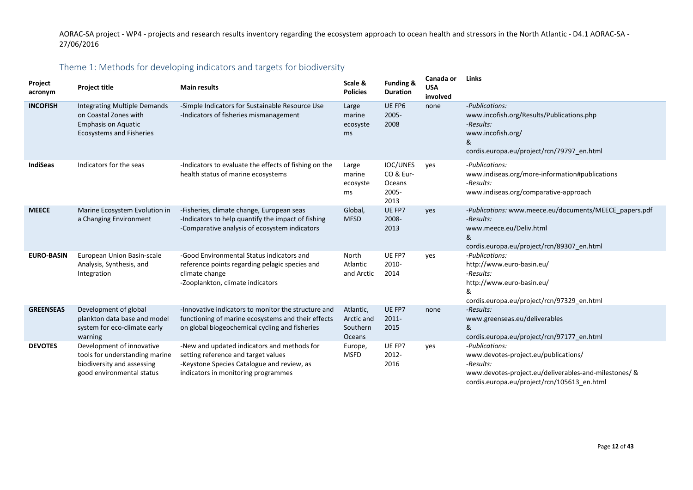# Theme 1: Methods for developing indicators and targets for biodiversity

<span id="page-11-0"></span>

| Project<br>acronym | <b>Project title</b>                                                                                                          | <b>Main results</b>                                                                                                                                                     | Scale &<br><b>Policies</b>                    | Funding &<br><b>Duration</b>                            | Canada or<br><b>USA</b><br>involved | <b>Links</b>                                                                                                                                                                |
|--------------------|-------------------------------------------------------------------------------------------------------------------------------|-------------------------------------------------------------------------------------------------------------------------------------------------------------------------|-----------------------------------------------|---------------------------------------------------------|-------------------------------------|-----------------------------------------------------------------------------------------------------------------------------------------------------------------------------|
| <b>INCOFISH</b>    | <b>Integrating Multiple Demands</b><br>on Coastal Zones with<br><b>Emphasis on Aquatic</b><br><b>Ecosystems and Fisheries</b> | -Simple Indicators for Sustainable Resource Use<br>-Indicators of fisheries mismanagement                                                                               | Large<br>marine<br>ecosyste<br>ms             | UE FP6<br>2005-<br>2008                                 | none                                | -Publications:<br>www.incofish.org/Results/Publications.php<br>-Results:<br>www.incofish.org/<br>&<br>cordis.europa.eu/project/rcn/79797 en.html                            |
| <b>IndiSeas</b>    | Indicators for the seas                                                                                                       | -Indicators to evaluate the effects of fishing on the<br>health status of marine ecosystems                                                                             | Large<br>marine<br>ecosyste<br>ms             | <b>IOC/UNES</b><br>CO & Eur-<br>Oceans<br>2005-<br>2013 | ves                                 | -Publications:<br>www.indiseas.org/more-information#publications<br>-Results:<br>www.indiseas.org/comparative-approach                                                      |
| <b>MEECE</b>       | Marine Ecosystem Evolution in<br>a Changing Environment                                                                       | -Fisheries, climate change, European seas<br>-Indicators to help quantify the impact of fishing<br>-Comparative analysis of ecosystem indicators                        | Global,<br><b>MFSD</b>                        | UE FP7<br>2008-<br>2013                                 | yes                                 | -Publications: www.meece.eu/documents/MEECE papers.pdf<br>-Results:<br>www.meece.eu/Deliv.html<br>&<br>cordis.europa.eu/project/rcn/89307_en.html                           |
| <b>EURO-BASIN</b>  | European Union Basin-scale<br>Analysis, Synthesis, and<br>Integration                                                         | -Good Environmental Status indicators and<br>reference points regarding pelagic species and<br>climate change<br>-Zooplankton, climate indicators                       | North<br>Atlantic<br>and Arctic               | UE FP7<br>2010-<br>2014                                 | yes                                 | -Publications:<br>http://www.euro-basin.eu/<br>-Results:<br>http://www.euro-basin.eu/<br>&<br>cordis.europa.eu/project/rcn/97329_en.html                                    |
| <b>GREENSEAS</b>   | Development of global<br>plankton data base and model<br>system for eco-climate early<br>warning                              | -Innovative indicators to monitor the structure and<br>functioning of marine ecosystems and their effects<br>on global biogeochemical cycling and fisheries             | Atlantic,<br>Arctic and<br>Southern<br>Oceans | UE FP7<br>2011-<br>2015                                 | none                                | -Results:<br>www.greenseas.eu/deliverables<br>&<br>cordis.europa.eu/project/rcn/97177_en.html                                                                               |
| <b>DEVOTES</b>     | Development of innovative<br>tools for understanding marine<br>biodiversity and assessing<br>good environmental status        | -New and updated indicators and methods for<br>setting reference and target values<br>-Keystone Species Catalogue and review, as<br>indicators in monitoring programmes | Europe,<br><b>MSFD</b>                        | UE FP7<br>2012-<br>2016                                 | yes                                 | -Publications:<br>www.devotes-project.eu/publications/<br>-Results:<br>www.devotes-project.eu/deliverables-and-milestones/ &<br>cordis.europa.eu/project/rcn/105613 en.html |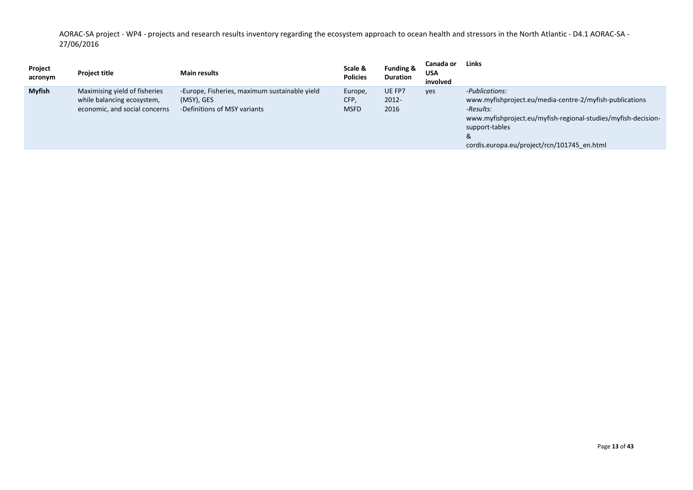| <b>Myfish</b><br>Maximising yield of fisheries<br>UE FP7<br>-Europe, Fisheries, maximum sustainable yield<br>-Publications:<br>Europe,<br><b>ves</b><br>CFP,<br>2012-<br>www.myfishproject.eu/media-centre-2/myfish-publications<br>while balancing ecosystem,<br>(MSY), GES<br><b>MSFD</b><br>economic, and social concerns<br>2016<br>-Definitions of MSY variants<br>-Results:<br>www.myfishproject.eu/myfish-regional-studies/myfish-decision-<br>support-tables<br>&<br>cordis.europa.eu/project/rcn/101745 en.html | Project<br>acronym | <b>Project title</b> | <b>Main results</b> | Scale &<br><b>Policies</b> | <b>Funding &amp;</b><br><b>Duration</b> | Canada or<br><b>USA</b><br>involved | Links |
|--------------------------------------------------------------------------------------------------------------------------------------------------------------------------------------------------------------------------------------------------------------------------------------------------------------------------------------------------------------------------------------------------------------------------------------------------------------------------------------------------------------------------|--------------------|----------------------|---------------------|----------------------------|-----------------------------------------|-------------------------------------|-------|
|                                                                                                                                                                                                                                                                                                                                                                                                                                                                                                                          |                    |                      |                     |                            |                                         |                                     |       |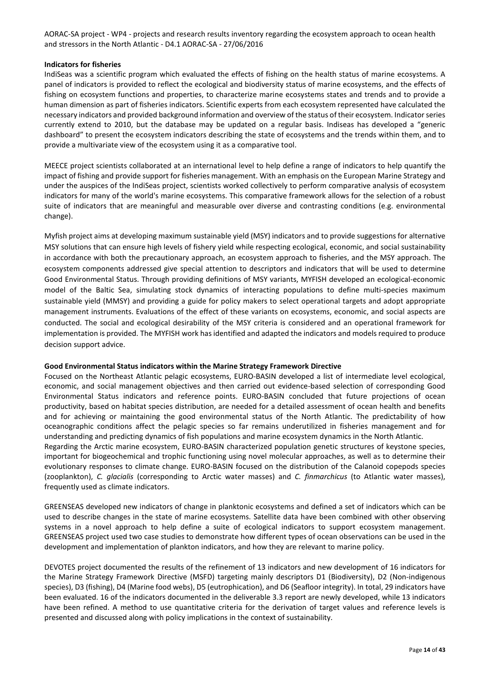#### **Indicators for fisheries**

IndiSeas was a scientific program which evaluated the effects of fishing on the health status of marine ecosystems. A panel of indicators is provided to reflect the ecological and biodiversity status of marine ecosystems, and the effects of fishing on ecosystem functions and properties, to characterize marine ecosystems states and trends and to provide a human dimension as part of fisheries indicators. Scientific experts from each ecosystem represented have calculated the necessary indicators and provided background information and overview of the status of their ecosystem. Indicator series currently extend to 2010, but the database may be updated on a regular basis. Indiseas has developed a "generic dashboard" to present the ecosystem indicators describing the state of ecosystems and the trends within them, and to provide a multivariate view of the ecosystem using it as a comparative tool.

MEECE project scientists collaborated at an international level to help define a range of indicators to help quantify the impact of fishing and provide support for fisheries management. With an emphasis on the European Marine Strategy and under the auspices of the IndiSeas project, scientists worked collectively to perform comparative analysis of ecosystem indicators for many of the world's marine ecosystems. This comparative framework allows for the selection of a robust suite of indicators that are meaningful and measurable over diverse and contrasting conditions (e.g. environmental change).

Myfish project aims at developing maximum sustainable yield (MSY) indicators and to provide suggestions for alternative MSY solutions that can ensure high levels of fishery yield while respecting ecological, economic, and social sustainability in accordance with both the precautionary approach, an ecosystem approach to fisheries, and the MSY approach. The ecosystem components addressed give special attention to descriptors and indicators that will be used to determine Good Environmental Status. Through providing definitions of MSY variants, MYFISH developed an ecological-economic model of the Baltic Sea, simulating stock dynamics of interacting populations to define multi-species maximum sustainable yield (MMSY) and providing a guide for policy makers to select operational targets and adopt appropriate management instruments. Evaluations of the effect of these variants on ecosystems, economic, and social aspects are conducted. The social and ecological desirability of the MSY criteria is considered and an operational framework for implementation is provided. The MYFISH work has identified and adapted the indicators and models required to produce decision support advice.

#### **Good Environmental Status indicators within the Marine Strategy Framework Directive**

Focused on the Northeast Atlantic pelagic ecosystems, EURO-BASIN developed a list of intermediate level ecological, economic, and social management objectives and then carried out evidence-based selection of corresponding Good Environmental Status indicators and reference points. EURO-BASIN concluded that future projections of ocean productivity, based on habitat species distribution, are needed for a detailed assessment of ocean health and benefits and for achieving or maintaining the good environmental status of the North Atlantic. The predictability of how oceanographic conditions affect the pelagic species so far remains underutilized in fisheries management and for understanding and predicting dynamics of fish populations and marine ecosystem dynamics in the North Atlantic.

Regarding the Arctic marine ecosystem, EURO-BASIN characterized population genetic structures of keystone species, important for biogeochemical and trophic functioning using novel molecular approaches, as well as to determine their evolutionary responses to climate change. EURO-BASIN focused on the distribution of the Calanoid copepods species (zooplankton), *C. glacialis* (corresponding to Arctic water masses) and *C. finmarchicus* (to Atlantic water masses), frequently used as climate indicators.

GREENSEAS developed new indicators of change in planktonic ecosystems and defined a set of indicators which can be used to describe changes in the state of marine ecosystems. Satellite data have been combined with other observing systems in a novel approach to help define a suite of ecological indicators to support ecosystem management. GREENSEAS project used two case studies to demonstrate how different types of ocean observations can be used in the development and implementation of plankton indicators, and how they are relevant to marine policy.

DEVOTES project documented the results of the refinement of 13 indicators and new development of 16 indicators for the Marine Strategy Framework Directive (MSFD) targeting mainly descriptors D1 (Biodiversity), D2 (Non-indigenous species), D3 (fishing), D4 (Marine food webs), D5 (eutrophication), and D6 (Seafloor integrity). In total, 29 indicators have been evaluated. 16 of the indicators documented in the deliverable 3.3 report are newly developed, while 13 indicators have been refined. A method to use quantitative criteria for the derivation of target values and reference levels is presented and discussed along with policy implications in the context of sustainability.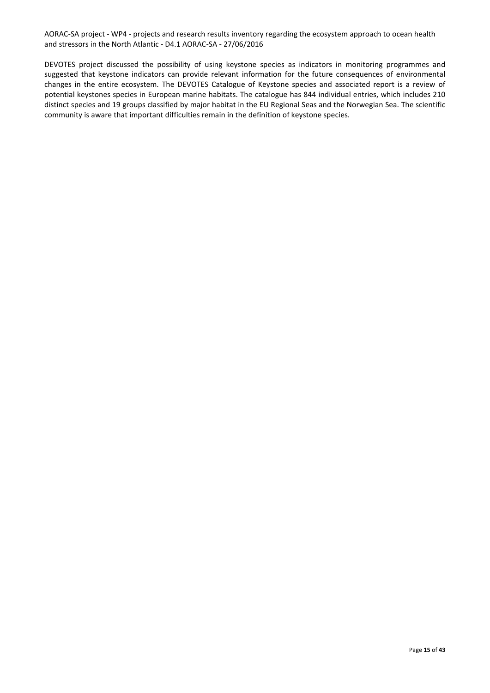DEVOTES project discussed the possibility of using keystone species as indicators in monitoring programmes and suggested that keystone indicators can provide relevant information for the future consequences of environmental changes in the entire ecosystem. The DEVOTES Catalogue of Keystone species and associated report is a review of potential keystones species in European marine habitats. The catalogue has 844 individual entries, which includes 210 distinct species and 19 groups classified by major habitat in the EU Regional Seas and the Norwegian Sea. The scientific community is aware that important difficulties remain in the definition of keystone species.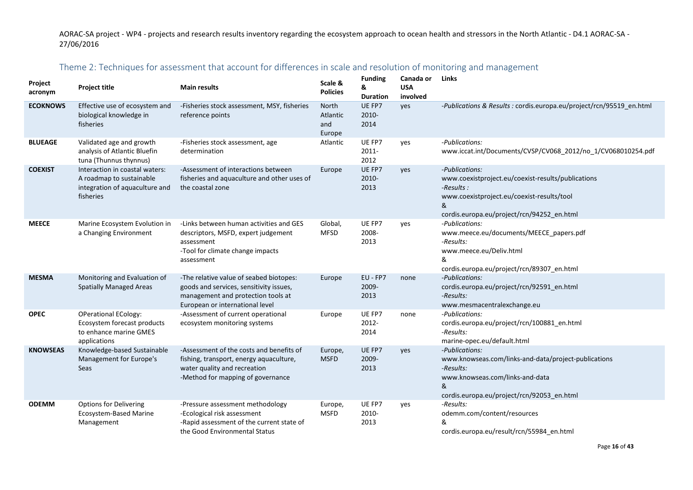# Theme 2: Techniques for assessment that account for differences in scale and resolution of monitoring and management

<span id="page-15-0"></span>

| Project<br>acronym | <b>Project title</b>                                                                                      | <b>Main results</b>                                                                                                                                         | Scale &<br><b>Policies</b>         | <b>Funding</b><br>&<br><b>Duration</b> | Canada or<br><b>USA</b><br>involved | <b>Links</b>                                                                                                                                                                        |
|--------------------|-----------------------------------------------------------------------------------------------------------|-------------------------------------------------------------------------------------------------------------------------------------------------------------|------------------------------------|----------------------------------------|-------------------------------------|-------------------------------------------------------------------------------------------------------------------------------------------------------------------------------------|
| <b>ECOKNOWS</b>    | Effective use of ecosystem and<br>biological knowledge in<br>fisheries                                    | -Fisheries stock assessment, MSY, fisheries<br>reference points                                                                                             | North<br>Atlantic<br>and<br>Europe | UE FP7<br>$2010 -$<br>2014             | yes                                 | -Publications & Results : cordis.europa.eu/project/rcn/95519 en.html                                                                                                                |
| <b>BLUEAGE</b>     | Validated age and growth<br>analysis of Atlantic Bluefin<br>tuna (Thunnus thynnus)                        | -Fisheries stock assessment, age<br>determination                                                                                                           | Atlantic                           | UE FP7<br>2011-<br>2012                | yes                                 | -Publications:<br>www.iccat.int/Documents/CVSP/CV068 2012/no 1/CV068010254.pdf                                                                                                      |
| <b>COEXIST</b>     | Interaction in coastal waters:<br>A roadmap to sustainable<br>integration of aquaculture and<br>fisheries | -Assessment of interactions between<br>fisheries and aquaculture and other uses of<br>the coastal zone                                                      | Europe                             | UE FP7<br>2010-<br>2013                | yes                                 | -Publications:<br>www.coexistproject.eu/coexist-results/publications<br>-Results :<br>www.coexistproject.eu/coexist-results/tool<br>&<br>cordis.europa.eu/project/rcn/94252_en.html |
| <b>MEECE</b>       | Marine Ecosystem Evolution in<br>a Changing Environment                                                   | -Links between human activities and GES<br>descriptors, MSFD, expert judgement<br>assessment<br>-Tool for climate change impacts<br>assessment              | Global,<br><b>MFSD</b>             | UE FP7<br>2008-<br>2013                | yes                                 | -Publications:<br>www.meece.eu/documents/MEECE_papers.pdf<br>-Results:<br>www.meece.eu/Deliv.html<br>&<br>cordis.europa.eu/project/rcn/89307_en.html                                |
| <b>MESMA</b>       | Monitoring and Evaluation of<br><b>Spatially Managed Areas</b>                                            | -The relative value of seabed biotopes:<br>goods and services, sensitivity issues,<br>management and protection tools at<br>European or international level | Europe                             | EU - FP7<br>2009-<br>2013              | none                                | -Publications:<br>cordis.europa.eu/project/rcn/92591 en.html<br>-Results:<br>www.mesmacentralexchange.eu                                                                            |
| <b>OPEC</b>        | <b>OPerational ECology:</b><br>Ecosystem forecast products<br>to enhance marine GMES<br>applications      | -Assessment of current operational<br>ecosystem monitoring systems                                                                                          | Europe                             | UE FP7<br>2012-<br>2014                | none                                | -Publications:<br>cordis.europa.eu/project/rcn/100881_en.html<br>-Results:<br>marine-opec.eu/default.html                                                                           |
| <b>KNOWSEAS</b>    | Knowledge-based Sustainable<br>Management for Europe's<br>Seas                                            | -Assessment of the costs and benefits of<br>fishing, transport, energy aquaculture,<br>water quality and recreation<br>-Method for mapping of governance    | Europe,<br><b>MSFD</b>             | UE FP7<br>2009-<br>2013                | yes                                 | -Publications:<br>www.knowseas.com/links-and-data/project-publications<br>-Results:<br>www.knowseas.com/links-and-data<br>&<br>cordis.europa.eu/project/rcn/92053_en.html           |
| <b>ODEMM</b>       | <b>Options for Delivering</b><br><b>Ecosystem-Based Marine</b><br>Management                              | -Pressure assessment methodology<br>-Ecological risk assessment<br>-Rapid assessment of the current state of<br>the Good Environmental Status               | Europe,<br><b>MSFD</b>             | UE FP7<br>2010-<br>2013                | yes                                 | -Results:<br>odemm.com/content/resources<br>&<br>cordis.europa.eu/result/rcn/55984_en.html                                                                                          |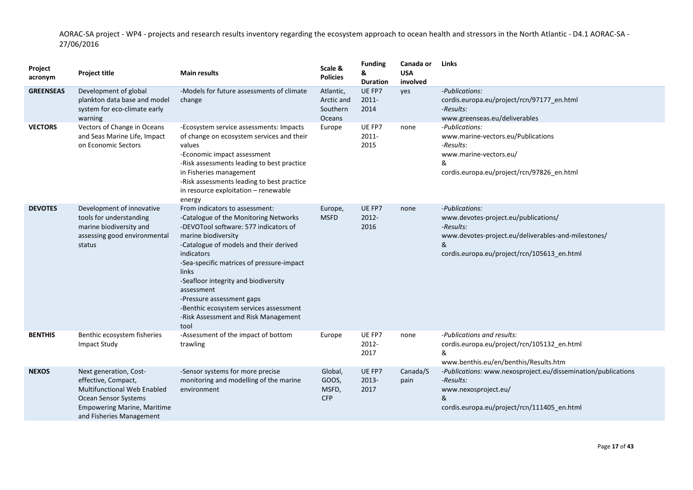| Project<br>acronym | <b>Project title</b>                                                                                                                                                          | <b>Main results</b>                                                                                                                                                                                                                                                                                                                                                                                                                       | Scale &<br><b>Policies</b>                    | <b>Funding</b><br>&<br><b>Duration</b> | Canada or<br><b>USA</b><br>involved | Links                                                                                                                                                                          |
|--------------------|-------------------------------------------------------------------------------------------------------------------------------------------------------------------------------|-------------------------------------------------------------------------------------------------------------------------------------------------------------------------------------------------------------------------------------------------------------------------------------------------------------------------------------------------------------------------------------------------------------------------------------------|-----------------------------------------------|----------------------------------------|-------------------------------------|--------------------------------------------------------------------------------------------------------------------------------------------------------------------------------|
| <b>GREENSEAS</b>   | Development of global<br>plankton data base and model<br>system for eco-climate early<br>warning                                                                              | -Models for future assessments of climate<br>change                                                                                                                                                                                                                                                                                                                                                                                       | Atlantic,<br>Arctic and<br>Southern<br>Oceans | UE FP7<br>$2011 -$<br>2014             | yes                                 | -Publications:<br>cordis.europa.eu/project/rcn/97177_en.html<br>-Results:<br>www.greenseas.eu/deliverables                                                                     |
| <b>VECTORS</b>     | Vectors of Change in Oceans<br>and Seas Marine Life, Impact<br>on Economic Sectors                                                                                            | -Ecosystem service assessments: Impacts<br>of change on ecosystem services and their<br>values<br>-Economic impact assessment<br>-Risk assessments leading to best practice<br>in Fisheries management<br>-Risk assessments leading to best practice<br>in resource exploitation - renewable<br>energy                                                                                                                                    | Europe                                        | UE FP7<br>$2011 -$<br>2015             | none                                | -Publications:<br>www.marine-vectors.eu/Publications<br>-Results:<br>www.marine-vectors.eu/<br>&<br>cordis.europa.eu/project/rcn/97826_en.html                                 |
| <b>DEVOTES</b>     | Development of innovative<br>tools for understanding<br>marine biodiversity and<br>assessing good environmental<br>status                                                     | From indicators to assessment:<br>-Catalogue of the Monitoring Networks<br>-DEVOTool software: 577 indicators of<br>marine biodiversity<br>-Catalogue of models and their derived<br>indicators<br>-Sea-specific matrices of pressure-impact<br><b>links</b><br>-Seafloor integrity and biodiversity<br>assessment<br>-Pressure assessment gaps<br>-Benthic ecosystem services assessment<br>-Risk Assessment and Risk Management<br>tool | Europe,<br><b>MSFD</b>                        | UE FP7<br>2012-<br>2016                | none                                | -Publications:<br>www.devotes-project.eu/publications/<br>-Results:<br>www.devotes-project.eu/deliverables-and-milestones/<br>&<br>cordis.europa.eu/project/rcn/105613_en.html |
| <b>BENTHIS</b>     | Benthic ecosystem fisheries<br>Impact Study                                                                                                                                   | -Assessment of the impact of bottom<br>trawling                                                                                                                                                                                                                                                                                                                                                                                           | Europe                                        | UE FP7<br>2012-<br>2017                | none                                | -Publications and results:<br>cordis.europa.eu/project/rcn/105132_en.html<br>&<br>www.benthis.eu/en/benthis/Results.htm                                                        |
| <b>NEXOS</b>       | Next generation, Cost-<br>effective, Compact,<br><b>Multifunctional Web Enabled</b><br>Ocean Sensor Systems<br><b>Empowering Marine, Maritime</b><br>and Fisheries Management | -Sensor systems for more precise<br>monitoring and modelling of the marine<br>environment                                                                                                                                                                                                                                                                                                                                                 | Global,<br>GOOS,<br>MSFD,<br><b>CFP</b>       | UE FP7<br>2013-<br>2017                | Canada/S<br>pain                    | -Publications: www.nexosproject.eu/dissemination/publications<br>-Results:<br>www.nexosproject.eu/<br>&<br>cordis.europa.eu/project/rcn/111405 en.html                         |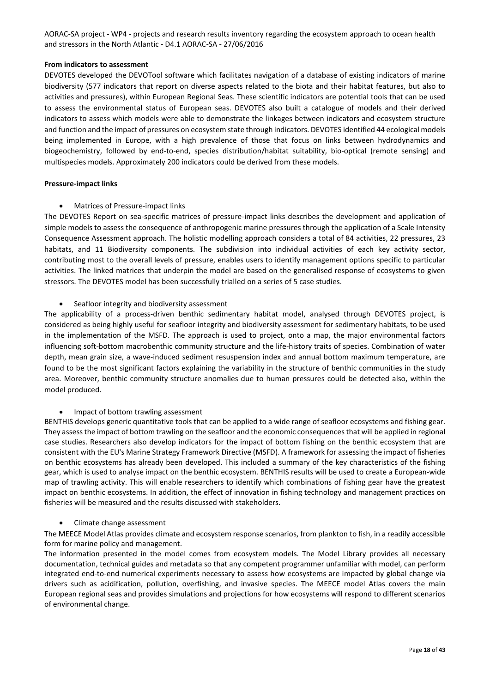#### **From indicators to assessment**

DEVOTES developed the DEVOTool software which facilitates navigation of a database of existing indicators of marine biodiversity (577 indicators that report on diverse aspects related to the biota and their habitat features, but also to activities and pressures), within European Regional Seas. These scientific indicators are potential tools that can be used to assess the environmental status of European seas. DEVOTES also built a catalogue of models and their derived indicators to assess which models were able to demonstrate the linkages between indicators and ecosystem structure and function and the impact of pressures on ecosystem state through indicators. DEVOTES identified 44 ecological models being implemented in Europe, with a high prevalence of those that focus on links between hydrodynamics and biogeochemistry, followed by end-to-end, species distribution/habitat suitability, bio-optical (remote sensing) and multispecies models. Approximately 200 indicators could be derived from these models.

#### **Pressure-impact links**

• Matrices of Pressure-impact links

The DEVOTES Report on sea-specific matrices of pressure-impact links describes the development and application of simple models to assess the consequence of anthropogenic marine pressures through the application of a Scale Intensity Consequence Assessment approach. The holistic modelling approach considers a total of 84 activities, 22 pressures, 23 habitats, and 11 Biodiversity components. The subdivision into individual activities of each key activity sector, contributing most to the overall levels of pressure, enables users to identify management options specific to particular activities. The linked matrices that underpin the model are based on the generalised response of ecosystems to given stressors. The DEVOTES model has been successfully trialled on a series of 5 case studies.

#### • Seafloor integrity and biodiversity assessment

The applicability of a process-driven benthic sedimentary habitat model, analysed through DEVOTES project, is considered as being highly useful for seafloor integrity and biodiversity assessment for sedimentary habitats, to be used in the implementation of the MSFD. The approach is used to project, onto a map, the major environmental factors influencing soft-bottom macrobenthic community structure and the life-history traits of species. Combination of water depth, mean grain size, a wave-induced sediment resuspension index and annual bottom maximum temperature, are found to be the most significant factors explaining the variability in the structure of benthic communities in the study area. Moreover, benthic community structure anomalies due to human pressures could be detected also, within the model produced.

#### • Impact of bottom trawling assessment

BENTHIS develops generic quantitative tools that can be applied to a wide range of seafloor ecosystems and fishing gear. They assess the impact of bottom trawling on the seafloor and the economic consequences that will be applied in regional case studies. Researchers also develop indicators for the impact of bottom fishing on the benthic ecosystem that are consistent with the EU's Marine Strategy Framework Directive (MSFD). A framework for assessing the impact of fisheries on benthic ecosystems has already been developed. This included a summary of the key characteristics of the fishing gear, which is used to analyse impact on the benthic ecosystem. BENTHIS results will be used to create a European-wide map of trawling activity. This will enable researchers to identify which combinations of fishing gear have the greatest impact on benthic ecosystems. In addition, the effect of innovation in fishing technology and management practices on fisheries will be measured and the results discussed with stakeholders.

#### • Climate change assessment

The MEECE Model Atlas provides climate and ecosystem response scenarios, from plankton to fish, in a readily accessible form for marine policy and management.

The information presented in the model comes from ecosystem models. The Model Library provides all necessary documentation, technical guides and metadata so that any competent programmer unfamiliar with model, can perform integrated end-to-end numerical experiments necessary to assess how ecosystems are impacted by global change via drivers such as acidification, pollution, overfishing, and invasive species. The MEECE model Atlas covers the main European regional seas and provides simulations and projections for how ecosystems will respond to different scenarios of environmental change.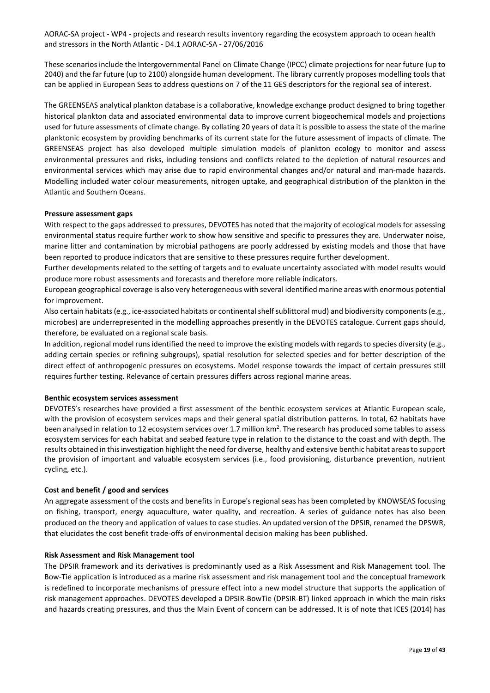These scenarios include the Intergovernmental Panel on Climate Change (IPCC) climate projections for near future (up to 2040) and the far future (up to 2100) alongside human development. The library currently proposes modelling tools that can be applied in European Seas to address questions on 7 of the 11 GES descriptors for the regional sea of interest.

The GREENSEAS analytical plankton database is a collaborative, knowledge exchange product designed to bring together historical plankton data and associated environmental data to improve current biogeochemical models and projections used for future assessments of climate change. By collating 20 years of data it is possible to assess the state of the marine planktonic ecosystem by providing benchmarks of its current state for the future assessment of impacts of climate. The GREENSEAS project has also developed multiple simulation models of plankton ecology to monitor and assess environmental pressures and risks, including tensions and conflicts related to the depletion of natural resources and environmental services which may arise due to rapid environmental changes and/or natural and man-made hazards. Modelling included water colour measurements, nitrogen uptake, and geographical distribution of the plankton in the Atlantic and Southern Oceans.

#### **Pressure assessment gaps**

With respect to the gaps addressed to pressures, DEVOTES has noted that the majority of ecological models for assessing environmental status require further work to show how sensitive and specific to pressures they are. Underwater noise, marine litter and contamination by microbial pathogens are poorly addressed by existing models and those that have been reported to produce indicators that are sensitive to these pressures require further development.

Further developments related to the setting of targets and to evaluate uncertainty associated with model results would produce more robust assessments and forecasts and therefore more reliable indicators.

European geographical coverage is also very heterogeneous with several identified marine areas with enormous potential for improvement.

Also certain habitats (e.g., ice-associated habitats or continental shelf sublittoral mud) and biodiversity components (e.g., microbes) are underrepresented in the modelling approaches presently in the DEVOTES catalogue. Current gaps should, therefore, be evaluated on a regional scale basis.

In addition, regional model runs identified the need to improve the existing models with regards to species diversity (e.g., adding certain species or refining subgroups), spatial resolution for selected species and for better description of the direct effect of anthropogenic pressures on ecosystems. Model response towards the impact of certain pressures still requires further testing. Relevance of certain pressures differs across regional marine areas.

#### **Benthic ecosystem services assessment**

DEVOTES's researches have provided a first assessment of the benthic ecosystem services at Atlantic European scale, with the provision of ecosystem services maps and their general spatial distribution patterns. In total, 62 habitats have been analysed in relation to 12 ecosystem services over 1.7 million km<sup>2</sup>. The research has produced some tables to assess ecosystem services for each habitat and seabed feature type in relation to the distance to the coast and with depth. The results obtained in this investigation highlight the need for diverse, healthy and extensive benthic habitat areas to support the provision of important and valuable ecosystem services (i.e., food provisioning, disturbance prevention, nutrient cycling, etc.).

#### **Cost and benefit / good and services**

An aggregate assessment of the costs and benefits in Europe's regional seas has been completed by KNOWSEAS focusing on fishing, transport, energy aquaculture, water quality, and recreation. A series of guidance notes has also been produced on the theory and application of values to case studies. An updated version of the DPSIR, renamed the DPSWR, that elucidates the cost benefit trade-offs of environmental decision making has been published.

#### **Risk Assessment and Risk Management tool**

The DPSIR framework and its derivatives is predominantly used as a Risk Assessment and Risk Management tool. The Bow-Tie application is introduced as a marine risk assessment and risk management tool and the conceptual framework is redefined to incorporate mechanisms of pressure effect into a new model structure that supports the application of risk management approaches. DEVOTES developed a DPSIR-BowTie (DPSIR-BT) linked approach in which the main risks and hazards creating pressures, and thus the Main Event of concern can be addressed. It is of note that ICES (2014) has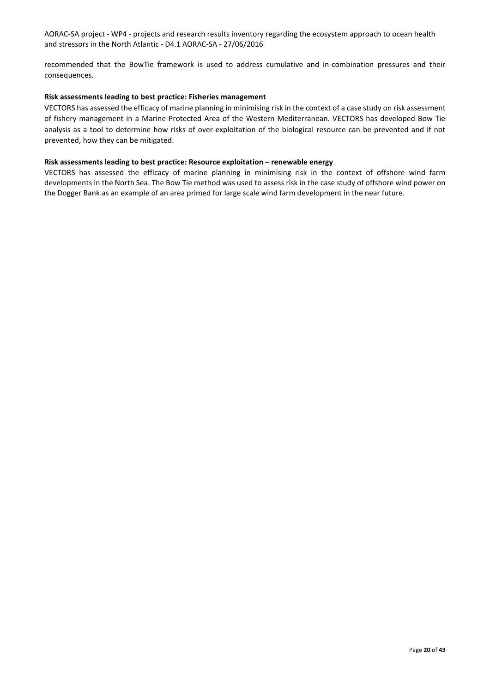recommended that the BowTie framework is used to address cumulative and in-combination pressures and their consequences.

#### **Risk assessments leading to best practice: Fisheries management**

VECTORS has assessed the efficacy of marine planning in minimising risk in the context of a case study on risk assessment of fishery management in a Marine Protected Area of the Western Mediterranean. VECTORS has developed Bow Tie analysis as a tool to determine how risks of over-exploitation of the biological resource can be prevented and if not prevented, how they can be mitigated.

#### **Risk assessments leading to best practice: Resource exploitation – renewable energy**

VECTORS has assessed the efficacy of marine planning in minimising risk in the context of offshore wind farm developments in the North Sea. The Bow Tie method was used to assess risk in the case study of offshore wind power on the Dogger Bank as an example of an area primed for large scale wind farm development in the near future.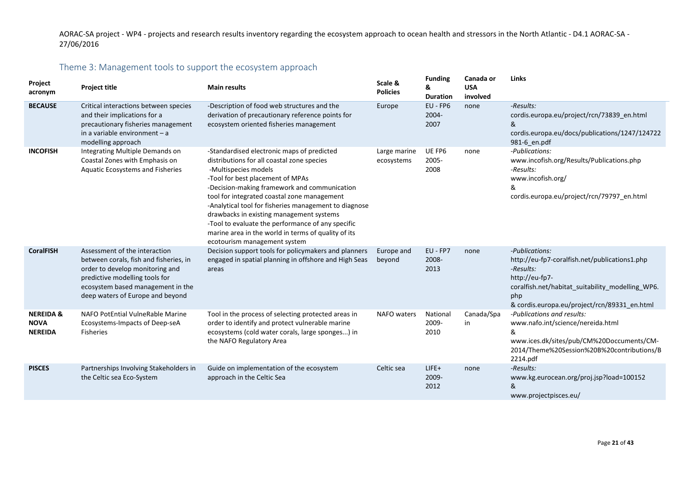# Theme 3: Management tools to support the ecosystem approach

<span id="page-20-0"></span>

| Project<br>acronym                                    | <b>Project title</b>                                                                                                                                                                                                  | <b>Main results</b>                                                                                                                                                                                                                                                                                                                                                                                                                                                                                  | Scale &<br><b>Policies</b> | <b>Funding</b><br>&<br><b>Duration</b> | Canada or<br><b>USA</b><br>involved | Links                                                                                                                                                                                                     |
|-------------------------------------------------------|-----------------------------------------------------------------------------------------------------------------------------------------------------------------------------------------------------------------------|------------------------------------------------------------------------------------------------------------------------------------------------------------------------------------------------------------------------------------------------------------------------------------------------------------------------------------------------------------------------------------------------------------------------------------------------------------------------------------------------------|----------------------------|----------------------------------------|-------------------------------------|-----------------------------------------------------------------------------------------------------------------------------------------------------------------------------------------------------------|
| <b>BECAUSE</b>                                        | Critical interactions between species<br>and their implications for a<br>precautionary fisheries management<br>in a variable environment $-$ a<br>modelling approach                                                  | -Description of food web structures and the<br>derivation of precautionary reference points for<br>ecosystem oriented fisheries management                                                                                                                                                                                                                                                                                                                                                           | Europe                     | $EU$ - $FP6$<br>2004-<br>2007          | none                                | -Results:<br>cordis.europa.eu/project/rcn/73839_en.html<br>&<br>cordis.europa.eu/docs/publications/1247/124722<br>981-6 en.pdf                                                                            |
| <b>INCOFISH</b>                                       | Integrating Multiple Demands on<br>Coastal Zones with Emphasis on<br>Aquatic Ecosystems and Fisheries                                                                                                                 | -Standardised electronic maps of predicted<br>distributions for all coastal zone species<br>-Multispecies models<br>-Tool for best placement of MPAs<br>-Decision-making framework and communication<br>tool for integrated coastal zone management<br>-Analytical tool for fisheries management to diagnose<br>drawbacks in existing management systems<br>-Tool to evaluate the performance of any specific<br>marine area in the world in terms of quality of its<br>ecotourism management system | Large marine<br>ecosystems | UE FP6<br>2005-<br>2008                | none                                | -Publications:<br>www.incofish.org/Results/Publications.php<br>-Results:<br>www.incofish.org/<br>&<br>cordis.europa.eu/project/rcn/79797_en.html                                                          |
| <b>CoralFISH</b>                                      | Assessment of the interaction<br>between corals, fish and fisheries, in<br>order to develop monitoring and<br>predictive modelling tools for<br>ecosystem based management in the<br>deep waters of Europe and beyond | Decision support tools for policymakers and planners<br>engaged in spatial planning in offshore and High Seas<br>areas                                                                                                                                                                                                                                                                                                                                                                               | Europe and<br>beyond       | EU - FP7<br>2008-<br>2013              | none                                | -Publications:<br>http://eu-fp7-coralfish.net/publications1.php<br>-Results:<br>http://eu-fp7-<br>coralfish.net/habitat_suitability_modelling_WP6.<br>php<br>& cordis.europa.eu/project/rcn/89331_en.html |
| <b>NEREIDA &amp;</b><br><b>NOVA</b><br><b>NEREIDA</b> | NAFO PotEntial VulneRable Marine<br>Ecosystems-Impacts of Deep-seA<br><b>Fisheries</b>                                                                                                                                | Tool in the process of selecting protected areas in<br>order to identify and protect vulnerable marine<br>ecosystems (cold water corals, large sponges) in<br>the NAFO Regulatory Area                                                                                                                                                                                                                                                                                                               | NAFO waters                | National<br>2009-<br>2010              | Canada/Spa<br>in                    | -Publications and results:<br>www.nafo.int/science/nereida.html<br>&<br>www.ices.dk/sites/pub/CM%20Doccuments/CM-<br>2014/Theme%20Session%20B%20contributions/B<br>2214.pdf                               |
| <b>PISCES</b>                                         | Partnerships Involving Stakeholders in<br>the Celtic sea Eco-System                                                                                                                                                   | Guide on implementation of the ecosystem<br>approach in the Celtic Sea                                                                                                                                                                                                                                                                                                                                                                                                                               | Celtic sea                 | $LIFE+$<br>2009-<br>2012               | none                                | -Results:<br>www.kg.eurocean.org/proj.jsp?load=100152<br>&<br>www.projectpisces.eu/                                                                                                                       |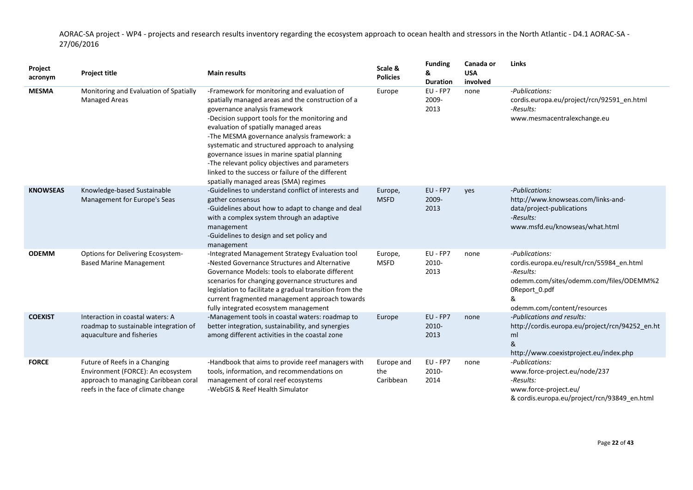| Project<br>acronym | <b>Project title</b>                                                                                                                              | <b>Main results</b>                                                                                                                                                                                                                                                                                                                                                                                                                                                                                                            | Scale &<br><b>Policies</b>     | <b>Funding</b><br>&<br><b>Duration</b> | Canada or<br><b>USA</b><br>involved | Links                                                                                                                                                                    |
|--------------------|---------------------------------------------------------------------------------------------------------------------------------------------------|--------------------------------------------------------------------------------------------------------------------------------------------------------------------------------------------------------------------------------------------------------------------------------------------------------------------------------------------------------------------------------------------------------------------------------------------------------------------------------------------------------------------------------|--------------------------------|----------------------------------------|-------------------------------------|--------------------------------------------------------------------------------------------------------------------------------------------------------------------------|
| <b>MESMA</b>       | Monitoring and Evaluation of Spatially<br><b>Managed Areas</b>                                                                                    | -Framework for monitoring and evaluation of<br>spatially managed areas and the construction of a<br>governance analysis framework<br>-Decision support tools for the monitoring and<br>evaluation of spatially managed areas<br>-The MESMA governance analysis framework: a<br>systematic and structured approach to analysing<br>governance issues in marine spatial planning<br>-The relevant policy objectives and parameters<br>linked to the success or failure of the different<br>spatially managed areas (SMA) regimes | Europe                         | EU - FP7<br>2009-<br>2013              | none                                | -Publications:<br>cordis.europa.eu/project/rcn/92591_en.html<br>-Results:<br>www.mesmacentralexchange.eu                                                                 |
| <b>KNOWSEAS</b>    | Knowledge-based Sustainable<br>Management for Europe's Seas                                                                                       | -Guidelines to understand conflict of interests and<br>gather consensus<br>-Guidelines about how to adapt to change and deal<br>with a complex system through an adaptive<br>management<br>-Guidelines to design and set policy and<br>management                                                                                                                                                                                                                                                                              | Europe,<br><b>MSFD</b>         | EU - FP7<br>2009-<br>2013              | yes                                 | -Publications:<br>http://www.knowseas.com/links-and-<br>data/project-publications<br>-Results:<br>www.msfd.eu/knowseas/what.html                                         |
| <b>ODEMM</b>       | Options for Delivering Ecosystem-<br><b>Based Marine Management</b>                                                                               | -Integrated Management Strategy Evaluation tool<br>-Nested Governance Structures and Alternative<br>Governance Models: tools to elaborate different<br>scenarios for changing governance structures and<br>legislation to facilitate a gradual transition from the<br>current fragmented management approach towards<br>fully integrated ecosystem management                                                                                                                                                                  | Europe,<br><b>MSFD</b>         | EU - FP7<br>2010-<br>2013              | none                                | -Publications:<br>cordis.europa.eu/result/rcn/55984 en.html<br>-Results:<br>odemm.com/sites/odemm.com/files/ODEMM%2<br>OReport_0.pdf<br>&<br>odemm.com/content/resources |
| <b>COEXIST</b>     | Interaction in coastal waters: A<br>roadmap to sustainable integration of<br>aquaculture and fisheries                                            | -Management tools in coastal waters: roadmap to<br>better integration, sustainability, and synergies<br>among different activities in the coastal zone                                                                                                                                                                                                                                                                                                                                                                         | Europe                         | EU - FP7<br>2010-<br>2013              | none                                | -Publications and results:<br>http://cordis.europa.eu/project/rcn/94252_en.ht<br>ml<br>&<br>http://www.coexistproject.eu/index.php                                       |
| <b>FORCE</b>       | Future of Reefs in a Changing<br>Environment (FORCE): An ecosystem<br>approach to managing Caribbean coral<br>reefs in the face of climate change | -Handbook that aims to provide reef managers with<br>tools, information, and recommendations on<br>management of coral reef ecosystems<br>-WebGIS & Reef Health Simulator                                                                                                                                                                                                                                                                                                                                                      | Europe and<br>the<br>Caribbean | EU - FP7<br>2010-<br>2014              | none                                | -Publications:<br>www.force-project.eu/node/237<br>-Results:<br>www.force-project.eu/<br>& cordis.europa.eu/project/rcn/93849_en.html                                    |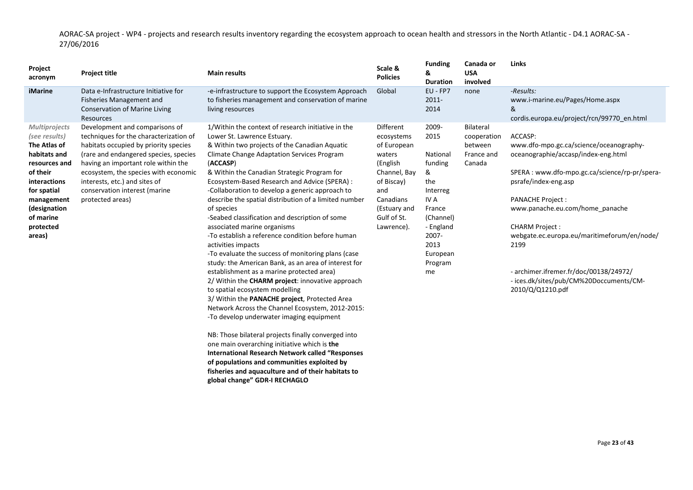| Project<br>acronym                                                                                                                                                                                         | <b>Project title</b>                                                                                                                                                                                                                                                                                                            | <b>Main results</b>                                                                                                                                                                                                                                                                                                                                                                                                                                                                                                                                                                                                                                                                                                                                                                                                                                                                                                                                                                 | Scale &<br><b>Policies</b>                                                                                                                                  | <b>Funding</b><br>&<br><b>Duration</b>                                                                                                                 | Canada or<br><b>USA</b><br>involved                         | Links                                                                                                                                                                                                                                                                                                                                                                                                                      |
|------------------------------------------------------------------------------------------------------------------------------------------------------------------------------------------------------------|---------------------------------------------------------------------------------------------------------------------------------------------------------------------------------------------------------------------------------------------------------------------------------------------------------------------------------|-------------------------------------------------------------------------------------------------------------------------------------------------------------------------------------------------------------------------------------------------------------------------------------------------------------------------------------------------------------------------------------------------------------------------------------------------------------------------------------------------------------------------------------------------------------------------------------------------------------------------------------------------------------------------------------------------------------------------------------------------------------------------------------------------------------------------------------------------------------------------------------------------------------------------------------------------------------------------------------|-------------------------------------------------------------------------------------------------------------------------------------------------------------|--------------------------------------------------------------------------------------------------------------------------------------------------------|-------------------------------------------------------------|----------------------------------------------------------------------------------------------------------------------------------------------------------------------------------------------------------------------------------------------------------------------------------------------------------------------------------------------------------------------------------------------------------------------------|
| iMarine                                                                                                                                                                                                    | Data e-Infrastructure Initiative for<br>Fisheries Management and<br><b>Conservation of Marine Living</b><br><b>Resources</b>                                                                                                                                                                                                    | -e-infrastructure to support the Ecosystem Approach<br>to fisheries management and conservation of marine<br>living resources                                                                                                                                                                                                                                                                                                                                                                                                                                                                                                                                                                                                                                                                                                                                                                                                                                                       | Global                                                                                                                                                      | EU - FP7<br>$2011 -$<br>2014                                                                                                                           | none                                                        | -Results:<br>www.i-marine.eu/Pages/Home.aspx<br>&<br>cordis.europa.eu/project/rcn/99770 en.html                                                                                                                                                                                                                                                                                                                            |
| <b>Multiprojects</b><br>(see results)<br>The Atlas of<br>habitats and<br>resources and<br>of their<br><b>interactions</b><br>for spatial<br>management<br>(designation<br>of marine<br>protected<br>areas) | Development and comparisons of<br>techniques for the characterization of<br>habitats occupied by priority species<br>(rare and endangered species, species<br>having an important role within the<br>ecosystem, the species with economic<br>interests, etc.) and sites of<br>conservation interest (marine<br>protected areas) | 1/Within the context of research initiative in the<br>Lower St. Lawrence Estuary.<br>& Within two projects of the Canadian Aquatic<br>Climate Change Adaptation Services Program<br>(ACCASP)<br>& Within the Canadian Strategic Program for<br>Ecosystem-Based Research and Advice (SPERA) :<br>-Collaboration to develop a generic approach to<br>describe the spatial distribution of a limited number<br>of species<br>-Seabed classification and description of some<br>associated marine organisms<br>-To establish a reference condition before human<br>activities impacts<br>-To evaluate the success of monitoring plans (case<br>study: the American Bank, as an area of interest for<br>establishment as a marine protected area)<br>2/ Within the CHARM project: innovative approach<br>to spatial ecosystem modelling<br>3/ Within the PANACHE project, Protected Area<br>Network Across the Channel Ecosystem, 2012-2015:<br>-To develop underwater imaging equipment | Different<br>ecosystems<br>of European<br>waters<br>(English<br>Channel, Bay<br>of Biscay)<br>and<br>Canadians<br>(Estuary and<br>Gulf of St.<br>Lawrence). | 2009-<br>2015<br>National<br>funding<br>&<br>the<br>Interreg<br>IV A<br>France<br>(Channel)<br>- England<br>2007-<br>2013<br>European<br>Program<br>me | Bilateral<br>cooperation<br>between<br>France and<br>Canada | ACCASP:<br>www.dfo-mpo.gc.ca/science/oceanography-<br>oceanographie/accasp/index-eng.html<br>SPERA : www.dfo-mpo.gc.ca/science/rp-pr/spera-<br>psrafe/index-eng.asp<br><b>PANACHE Project:</b><br>www.panache.eu.com/home_panache<br><b>CHARM Project:</b><br>webgate.ec.europa.eu/maritimeforum/en/node/<br>2199<br>- archimer.ifremer.fr/doc/00138/24972/<br>- ices.dk/sites/pub/CM%20Doccuments/CM-<br>2010/Q/Q1210.pdf |
|                                                                                                                                                                                                            |                                                                                                                                                                                                                                                                                                                                 | NB: Those bilateral projects finally converged into                                                                                                                                                                                                                                                                                                                                                                                                                                                                                                                                                                                                                                                                                                                                                                                                                                                                                                                                 |                                                                                                                                                             |                                                                                                                                                        |                                                             |                                                                                                                                                                                                                                                                                                                                                                                                                            |

NB: Those bilateral projects finally converged into one main overarching initiative which is **the International Research Network called "Responses of populations and communities exploited by fisheries and aquaculture and of their habitats to global change" GDR-I RECHAGLO**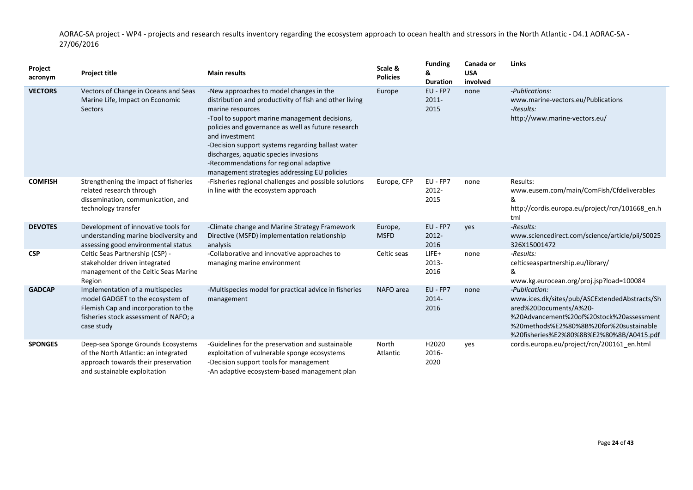| Project<br>acronym | <b>Project title</b>                                                                                                                                                | <b>Main results</b>                                                                                                                                                                                                                                                                                                                                                                                                                    | Scale &<br><b>Policies</b> | <b>Funding</b><br>&<br><b>Duration</b> | Canada or<br><b>USA</b><br>involved | <b>Links</b>                                                                                                                                                                                                                |
|--------------------|---------------------------------------------------------------------------------------------------------------------------------------------------------------------|----------------------------------------------------------------------------------------------------------------------------------------------------------------------------------------------------------------------------------------------------------------------------------------------------------------------------------------------------------------------------------------------------------------------------------------|----------------------------|----------------------------------------|-------------------------------------|-----------------------------------------------------------------------------------------------------------------------------------------------------------------------------------------------------------------------------|
| <b>VECTORS</b>     | Vectors of Change in Oceans and Seas<br>Marine Life, Impact on Economic<br>Sectors                                                                                  | -New approaches to model changes in the<br>distribution and productivity of fish and other living<br>marine resources<br>-Tool to support marine management decisions,<br>policies and governance as well as future research<br>and investment<br>-Decision support systems regarding ballast water<br>discharges, aquatic species invasions<br>-Recommendations for regional adaptive<br>management strategies addressing EU policies | Europe                     | EU - FP7<br>$2011 -$<br>2015           | none                                | -Publications:<br>www.marine-vectors.eu/Publications<br>-Results:<br>http://www.marine-vectors.eu/                                                                                                                          |
| <b>COMFISH</b>     | Strengthening the impact of fisheries<br>related research through<br>dissemination, communication, and<br>technology transfer                                       | -Fisheries regional challenges and possible solutions<br>in line with the ecosystem approach                                                                                                                                                                                                                                                                                                                                           | Europe, CFP                | EU - FP7<br>2012-<br>2015              | none                                | Results:<br>www.eusem.com/main/ComFish/Cfdeliverables<br>&<br>http://cordis.europa.eu/project/rcn/101668_en.h<br>tml                                                                                                        |
| <b>DEVOTES</b>     | Development of innovative tools for<br>understanding marine biodiversity and<br>assessing good environmental status                                                 | -Climate change and Marine Strategy Framework<br>Directive (MSFD) implementation relationship<br>analysis                                                                                                                                                                                                                                                                                                                              | Europe,<br><b>MSFD</b>     | EU - FP7<br>2012-<br>2016              | yes                                 | -Results:<br>www.sciencedirect.com/science/article/pii/S0025<br>326X15001472                                                                                                                                                |
| <b>CSP</b>         | Celtic Seas Partnership (CSP) -<br>stakeholder driven integrated<br>management of the Celtic Seas Marine<br>Region                                                  | -Collaborative and innovative approaches to<br>managing marine environment                                                                                                                                                                                                                                                                                                                                                             | Celtic seas                | LIFE+<br>2013-<br>2016                 | none                                | -Results:<br>celticseaspartnership.eu/library/<br>&<br>www.kg.eurocean.org/proj.jsp?load=100084                                                                                                                             |
| <b>GADCAP</b>      | Implementation of a multispecies<br>model GADGET to the ecosystem of<br>Flemish Cap and incorporation to the<br>fisheries stock assessment of NAFO; a<br>case study | -Multispecies model for practical advice in fisheries<br>management                                                                                                                                                                                                                                                                                                                                                                    | NAFO area                  | EU - FP7<br>2014-<br>2016              | none                                | -Publication:<br>www.ices.dk/sites/pub/ASCExtendedAbstracts/Sh<br>ared%20Documents/A%20-<br>%20Advancement%20of%20stock%20assessment<br>%20methods%E2%80%8B%20for%20sustainable<br>%20fisheries%E2%80%8B%E2%80%8B/A0415.pdf |
| <b>SPONGES</b>     | Deep-sea Sponge Grounds Ecosystems<br>of the North Atlantic: an integrated<br>approach towards their preservation<br>and sustainable exploitation                   | -Guidelines for the preservation and sustainable<br>exploitation of vulnerable sponge ecosystems<br>-Decision support tools for management<br>-An adaptive ecosystem-based management plan                                                                                                                                                                                                                                             | North<br>Atlantic          | H2020<br>2016-<br>2020                 | yes                                 | cordis.europa.eu/project/rcn/200161 en.html                                                                                                                                                                                 |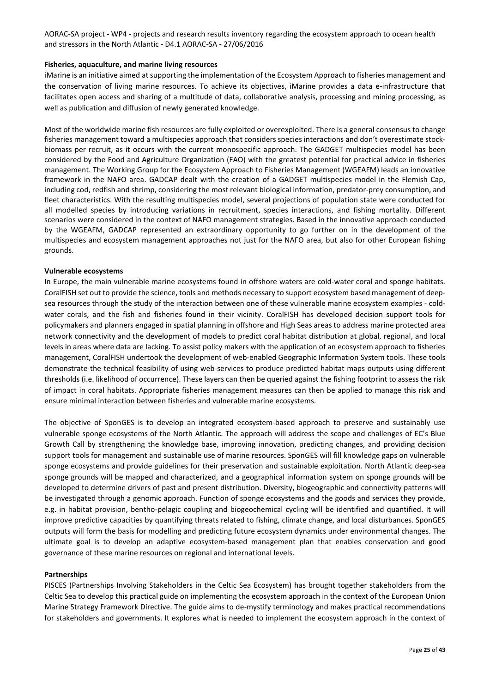#### **Fisheries, aquaculture, and marine living resources**

iMarine is an initiative aimed at supporting the implementation of the Ecosystem Approach to fisheries management and the conservation of living marine resources. To achieve its objectives, iMarine provides a data e-infrastructure that facilitates open access and sharing of a multitude of data, collaborative analysis, processing and mining processing, as well as publication and diffusion of newly generated knowledge.

Most of the worldwide marine fish resources are fully exploited or overexploited. There is a general consensus to change fisheries management toward a multispecies approach that considers species interactions and don't overestimate stockbiomass per recruit, as it occurs with the current monospecific approach. The GADGET multispecies model has been considered by the Food and Agriculture Organization (FAO) with the greatest potential for practical advice in fisheries management. The Working Group for the Ecosystem Approach to Fisheries Management (WGEAFM) leads an innovative framework in the NAFO area. GADCAP dealt with the creation of a GADGET multispecies model in the Flemish Cap, including cod, redfish and shrimp, considering the most relevant biological information, predator-prey consumption, and fleet characteristics. With the resulting multispecies model, several projections of population state were conducted for all modelled species by introducing variations in recruitment, species interactions, and fishing mortality. Different scenarios were considered in the context of NAFO management strategies. Based in the innovative approach conducted by the WGEAFM, GADCAP represented an extraordinary opportunity to go further on in the development of the multispecies and ecosystem management approaches not just for the NAFO area, but also for other European fishing grounds.

#### **Vulnerable ecosystems**

In Europe, the main vulnerable marine ecosystems found in offshore waters are cold-water coral and sponge habitats. CoralFISH set out to provide the science, tools and methods necessary to support ecosystem based management of deepsea resources through the study of the interaction between one of these vulnerable marine ecosystem examples - coldwater corals, and the fish and fisheries found in their vicinity. CoralFISH has developed decision support tools for policymakers and planners engaged in spatial planning in offshore and High Seas areas to address marine protected area network connectivity and the development of models to predict coral habitat distribution at global, regional, and local levels in areas where data are lacking. To assist policy makers with the application of an ecosystem approach to fisheries management, CoralFISH undertook the development of web-enabled Geographic Information System tools. These tools demonstrate the technical feasibility of using web-services to produce predicted habitat maps outputs using different thresholds (i.e. likelihood of occurrence). These layers can then be queried against the fishing footprint to assess the risk of impact in coral habitats. Appropriate fisheries management measures can then be applied to manage this risk and ensure minimal interaction between fisheries and vulnerable marine ecosystems.

The objective of SponGES is to develop an integrated ecosystem-based approach to preserve and sustainably use vulnerable sponge ecosystems of the North Atlantic. The approach will address the scope and challenges of EC's Blue Growth Call by strengthening the knowledge base, improving innovation, predicting changes, and providing decision support tools for management and sustainable use of marine resources. SponGES will fill knowledge gaps on vulnerable sponge ecosystems and provide guidelines for their preservation and sustainable exploitation. North Atlantic deep-sea sponge grounds will be mapped and characterized, and a geographical information system on sponge grounds will be developed to determine drivers of past and present distribution. Diversity, biogeographic and connectivity patterns will be investigated through a genomic approach. Function of sponge ecosystems and the goods and services they provide, e.g. in habitat provision, bentho-pelagic coupling and biogeochemical cycling will be identified and quantified. It will improve predictive capacities by quantifying threats related to fishing, climate change, and local disturbances. SponGES outputs will form the basis for modelling and predicting future ecosystem dynamics under environmental changes. The ultimate goal is to develop an adaptive ecosystem-based management plan that enables conservation and good governance of these marine resources on regional and international levels.

#### **Partnerships**

PISCES (Partnerships Involving Stakeholders in the Celtic Sea Ecosystem) has brought together stakeholders from the Celtic Sea to develop this practical guide on implementing the ecosystem approach in the context of the European Union Marine Strategy Framework Directive. The guide aims to de-mystify terminology and makes practical recommendations for stakeholders and governments. It explores what is needed to implement the ecosystem approach in the context of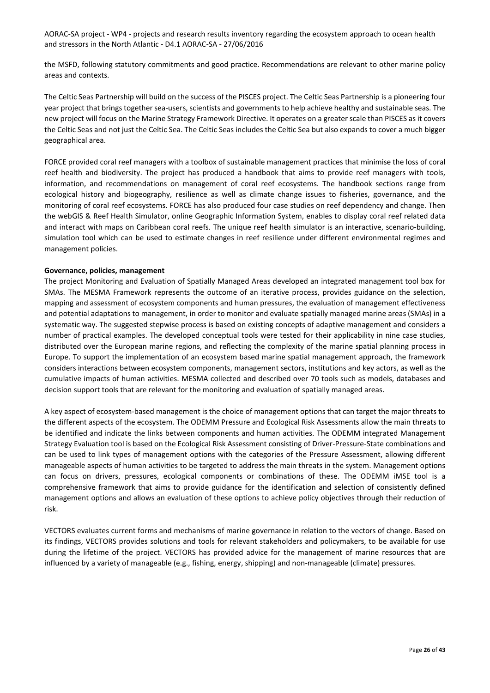the MSFD, following statutory commitments and good practice. Recommendations are relevant to other marine policy areas and contexts.

The Celtic Seas Partnership will build on the success of the PISCES project. The Celtic Seas Partnership is a pioneering four year project that brings together sea-users, scientists and governments to help achieve healthy and sustainable seas. The new project will focus on the Marine Strategy Framework Directive. It operates on a greater scale than PISCES as it covers the Celtic Seas and not just the Celtic Sea. The Celtic Seas includes the Celtic Sea but also expands to cover a much bigger geographical area.

FORCE provided coral reef managers with a toolbox of sustainable management practices that minimise the loss of coral reef health and biodiversity. The project has produced a handbook that aims to provide reef managers with tools, information, and recommendations on management of coral reef ecosystems. The handbook sections range from ecological history and biogeography, resilience as well as climate change issues to fisheries, governance, and the monitoring of coral reef ecosystems. FORCE has also produced four case studies on reef dependency and change. Then the webGIS & Reef Health Simulator, online Geographic Information System, enables to display coral reef related data and interact with maps on Caribbean coral reefs. The unique reef health simulator is an interactive, scenario-building, simulation tool which can be used to estimate changes in reef resilience under different environmental regimes and management policies.

#### **Governance, policies, management**

The project Monitoring and Evaluation of Spatially Managed Areas developed an integrated management tool box for SMAs. The MESMA Framework represents the outcome of an iterative process, provides guidance on the selection, mapping and assessment of ecosystem components and human pressures, the evaluation of management effectiveness and potential adaptations to management, in order to monitor and evaluate spatially managed marine areas (SMAs) in a systematic way. The suggested stepwise process is based on existing concepts of adaptive management and considers a number of practical examples. The developed conceptual tools were tested for their applicability in nine case studies, distributed over the European marine regions, and reflecting the complexity of the marine spatial planning process in Europe. To support the implementation of an ecosystem based marine spatial management approach, the framework considers interactions between ecosystem components, management sectors, institutions and key actors, as well as the cumulative impacts of human activities. MESMA collected and described over 70 tools such as models, databases and decision support tools that are relevant for the monitoring and evaluation of spatially managed areas.

A key aspect of ecosystem-based management is the choice of management options that can target the major threats to the different aspects of the ecosystem. The ODEMM Pressure and Ecological Risk Assessments allow the main threats to be identified and indicate the links between components and human activities. The ODEMM integrated Management Strategy Evaluation tool is based on the Ecological Risk Assessment consisting of Driver-Pressure-State combinations and can be used to link types of management options with the categories of the Pressure Assessment, allowing different manageable aspects of human activities to be targeted to address the main threats in the system. Management options can focus on drivers, pressures, ecological components or combinations of these. The ODEMM iMSE tool is a comprehensive framework that aims to provide guidance for the identification and selection of consistently defined management options and allows an evaluation of these options to achieve policy objectives through their reduction of risk.

VECTORS evaluates current forms and mechanisms of marine governance in relation to the vectors of change. Based on its findings, VECTORS provides solutions and tools for relevant stakeholders and policymakers, to be available for use during the lifetime of the project. VECTORS has provided advice for the management of marine resources that are influenced by a variety of manageable (e.g., fishing, energy, shipping) and non-manageable (climate) pressures.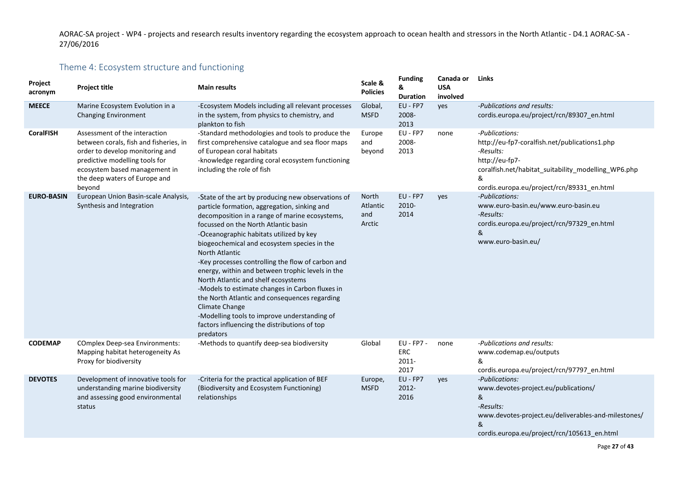# Theme 4: Ecosystem structure and functioning

<span id="page-26-0"></span>

| Project<br>acronym | <b>Project title</b>                                                                                                                                                                                                     | <b>Main results</b>                                                                                                                                                                                                                                                                                                                                                                                                                                                                                                                                                                                                                                                                                | Scale &<br><b>Policies</b>         | <b>Funding</b><br>&<br><b>Duration</b>    | Canada or<br><b>USA</b><br>involved | Links                                                                                                                                                                                                    |
|--------------------|--------------------------------------------------------------------------------------------------------------------------------------------------------------------------------------------------------------------------|----------------------------------------------------------------------------------------------------------------------------------------------------------------------------------------------------------------------------------------------------------------------------------------------------------------------------------------------------------------------------------------------------------------------------------------------------------------------------------------------------------------------------------------------------------------------------------------------------------------------------------------------------------------------------------------------------|------------------------------------|-------------------------------------------|-------------------------------------|----------------------------------------------------------------------------------------------------------------------------------------------------------------------------------------------------------|
| <b>MEECE</b>       | Marine Ecosystem Evolution in a<br><b>Changing Environment</b>                                                                                                                                                           | -Ecosystem Models including all relevant processes<br>in the system, from physics to chemistry, and<br>plankton to fish                                                                                                                                                                                                                                                                                                                                                                                                                                                                                                                                                                            | Global,<br><b>MSFD</b>             | EU - FP7<br>2008-<br>2013                 | yes                                 | -Publications and results:<br>cordis.europa.eu/project/rcn/89307_en.html                                                                                                                                 |
| <b>CoralFISH</b>   | Assessment of the interaction<br>between corals, fish and fisheries, in<br>order to develop monitoring and<br>predictive modelling tools for<br>ecosystem based management in<br>the deep waters of Europe and<br>beyond | -Standard methodologies and tools to produce the<br>first comprehensive catalogue and sea floor maps<br>of European coral habitats<br>-knowledge regarding coral ecosystem functioning<br>including the role of fish                                                                                                                                                                                                                                                                                                                                                                                                                                                                               | Europe<br>and<br>beyond            | EU - FP7<br>2008-<br>2013                 | none                                | -Publications:<br>http://eu-fp7-coralfish.net/publications1.php<br>-Results:<br>http://eu-fp7-<br>coralfish.net/habitat_suitability_modelling_WP6.php<br>&<br>cordis.europa.eu/project/rcn/89331_en.html |
| <b>EURO-BASIN</b>  | European Union Basin-scale Analysis,<br>Synthesis and Integration                                                                                                                                                        | -State of the art by producing new observations of<br>particle formation, aggregation, sinking and<br>decomposition in a range of marine ecosystems,<br>focussed on the North Atlantic basin<br>-Oceanographic habitats utilized by key<br>biogeochemical and ecosystem species in the<br><b>North Atlantic</b><br>-Key processes controlling the flow of carbon and<br>energy, within and between trophic levels in the<br>North Atlantic and shelf ecosystems<br>-Models to estimate changes in Carbon fluxes in<br>the North Atlantic and consequences regarding<br>Climate Change<br>-Modelling tools to improve understanding of<br>factors influencing the distributions of top<br>predators | North<br>Atlantic<br>and<br>Arctic | EU - FP7<br>2010-<br>2014                 | yes                                 | -Publications:<br>www.euro-basin.eu/www.euro-basin.eu<br>-Results:<br>cordis.europa.eu/project/rcn/97329_en.html<br>&<br>www.euro-basin.eu/                                                              |
| <b>CODEMAP</b>     | <b>COmplex Deep-sea Environments:</b><br>Mapping habitat heterogeneity As<br>Proxy for biodiversity                                                                                                                      | -Methods to quantify deep-sea biodiversity                                                                                                                                                                                                                                                                                                                                                                                                                                                                                                                                                                                                                                                         | Global                             | EU - FP7 -<br><b>ERC</b><br>2011-<br>2017 | none                                | -Publications and results:<br>www.codemap.eu/outputs<br>&<br>cordis.europa.eu/project/rcn/97797_en.html                                                                                                  |
| <b>DEVOTES</b>     | Development of innovative tools for<br>understanding marine biodiversity<br>and assessing good environmental<br>status                                                                                                   | -Criteria for the practical application of BEF<br>(Biodiversity and Ecosystem Functioning)<br>relationships                                                                                                                                                                                                                                                                                                                                                                                                                                                                                                                                                                                        | Europe,<br><b>MSFD</b>             | EU - FP7<br>2012-<br>2016                 | yes                                 | -Publications:<br>www.devotes-project.eu/publications/<br>&<br>-Results:<br>www.devotes-project.eu/deliverables-and-milestones/<br>&<br>cordis.europa.eu/project/rcn/105613_en.html                      |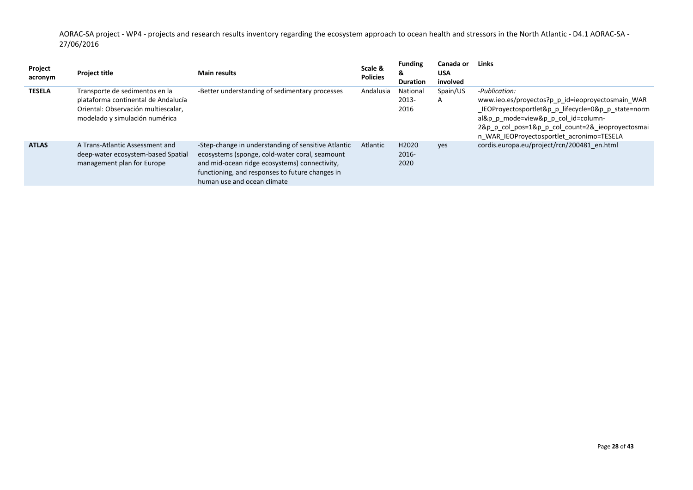| Project<br>acronym | <b>Project title</b>                                                                                                                           | <b>Main results</b>                                                                                                                                                                                                                      | Scale &<br><b>Policies</b> | <b>Funding</b><br>&<br><b>Duration</b> | Canada or<br><b>USA</b><br>involved | Links                                                                                                                                                                                                                                                            |
|--------------------|------------------------------------------------------------------------------------------------------------------------------------------------|------------------------------------------------------------------------------------------------------------------------------------------------------------------------------------------------------------------------------------------|----------------------------|----------------------------------------|-------------------------------------|------------------------------------------------------------------------------------------------------------------------------------------------------------------------------------------------------------------------------------------------------------------|
| <b>TESELA</b>      | Transporte de sedimentos en la<br>plataforma continental de Andalucía<br>Oriental: Observación multiescalar,<br>modelado y simulación numérica | -Better understanding of sedimentary processes                                                                                                                                                                                           | Andalusia                  | National<br>2013-<br>2016              | Spain/US<br>A                       | -Publication:<br>www.ieo.es/proyectos?p p id=ieoproyectosmain WAR<br>_IEOProyectosportlet&p_p_lifecycle=0&p_p_state=norm<br>al&p p mode=view&p p col id=column-<br>2&p p col pos=1&p p col count=2& ieoproyectosmai<br>n WAR IEOProyectosportlet acronimo=TESELA |
| <b>ATLAS</b>       | A Trans-Atlantic Assessment and<br>deep-water ecosystem-based Spatial<br>management plan for Europe                                            | -Step-change in understanding of sensitive Atlantic<br>ecosystems (sponge, cold-water coral, seamount<br>and mid-ocean ridge ecosystems) connectivity,<br>functioning, and responses to future changes in<br>human use and ocean climate | Atlantic                   | H2020<br>$2016 -$<br>2020              | ves                                 | cordis.europa.eu/project/rcn/200481 en.html                                                                                                                                                                                                                      |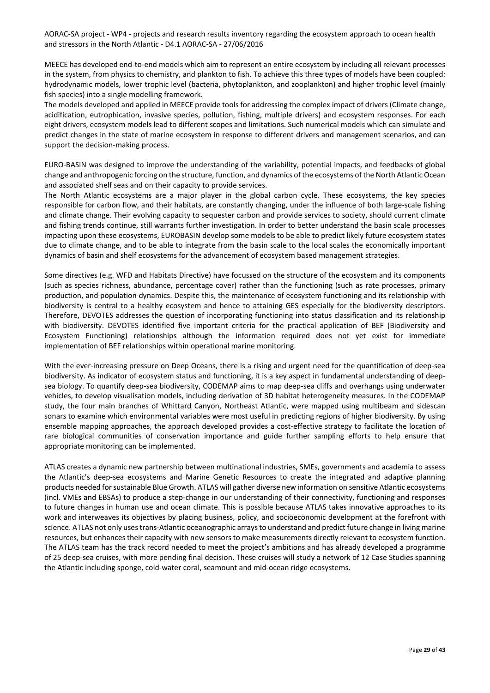MEECE has developed end-to-end models which aim to represent an entire ecosystem by including all relevant processes in the system, from physics to chemistry, and plankton to fish. To achieve this three types of models have been coupled: hydrodynamic models, lower trophic level (bacteria, phytoplankton, and zooplankton) and higher trophic level (mainly fish species) into a single modelling framework.

The models developed and applied in MEECE provide tools for addressing the complex impact of drivers (Climate change, acidification, eutrophication, invasive species, pollution, fishing, multiple drivers) and ecosystem responses. For each eight drivers, ecosystem models lead to different scopes and limitations. Such numerical models which can simulate and predict changes in the state of marine ecosystem in response to different drivers and management scenarios, and can support the decision-making process.

EURO-BASIN was designed to improve the understanding of the variability, potential impacts, and feedbacks of global change and anthropogenic forcing on the structure, function, and dynamics of the ecosystems of the North Atlantic Ocean and associated shelf seas and on their capacity to provide services.

The North Atlantic ecosystems are a major player in the global carbon cycle. These ecosystems, the key species responsible for carbon flow, and their habitats, are constantly changing, under the influence of both large-scale fishing and climate change. Their evolving capacity to sequester carbon and provide services to society, should current climate and fishing trends continue, still warrants further investigation. In order to better understand the basin scale processes impacting upon these ecosystems, EUROBASIN develop some models to be able to predict likely future ecosystem states due to climate change, and to be able to integrate from the basin scale to the local scales the economically important dynamics of basin and shelf ecosystems for the advancement of ecosystem based management strategies.

Some directives (e.g. WFD and Habitats Directive) have focussed on the structure of the ecosystem and its components (such as species richness, abundance, percentage cover) rather than the functioning (such as rate processes, primary production, and population dynamics. Despite this, the maintenance of ecosystem functioning and its relationship with biodiversity is central to a healthy ecosystem and hence to attaining GES especially for the biodiversity descriptors. Therefore, DEVOTES addresses the question of incorporating functioning into status classification and its relationship with biodiversity. DEVOTES identified five important criteria for the practical application of BEF (Biodiversity and Ecosystem Functioning) relationships although the information required does not yet exist for immediate implementation of BEF relationships within operational marine monitoring.

With the ever-increasing pressure on Deep Oceans, there is a rising and urgent need for the quantification of deep-sea biodiversity. As indicator of ecosystem status and functioning, it is a key aspect in fundamental understanding of deepsea biology. To quantify deep-sea biodiversity, CODEMAP aims to map deep-sea cliffs and overhangs using underwater vehicles, to develop visualisation models, including derivation of 3D habitat heterogeneity measures. In the CODEMAP study, the four main branches of Whittard Canyon, Northeast Atlantic, were mapped using multibeam and sidescan sonars to examine which environmental variables were most useful in predicting regions of higher biodiversity. By using ensemble mapping approaches, the approach developed provides a cost-effective strategy to facilitate the location of rare biological communities of conservation importance and guide further sampling efforts to help ensure that appropriate monitoring can be implemented.

ATLAS creates a dynamic new partnership between multinational industries, SMEs, governments and academia to assess the Atlantic's deep-sea ecosystems and Marine Genetic Resources to create the integrated and adaptive planning products needed for sustainable Blue Growth. ATLAS will gather diverse new information on sensitive Atlantic ecosystems (incl. VMEs and EBSAs) to produce a step-change in our understanding of their connectivity, functioning and responses to future changes in human use and ocean climate. This is possible because ATLAS takes innovative approaches to its work and interweaves its objectives by placing business, policy, and socioeconomic development at the forefront with science. ATLAS not only uses trans-Atlantic oceanographic arrays to understand and predict future change in living marine resources, but enhances their capacity with new sensors to make measurements directly relevant to ecosystem function. The ATLAS team has the track record needed to meet the project's ambitions and has already developed a programme of 25 deep-sea cruises, with more pending final decision. These cruises will study a network of 12 Case Studies spanning the Atlantic including sponge, cold-water coral, seamount and mid-ocean ridge ecosystems.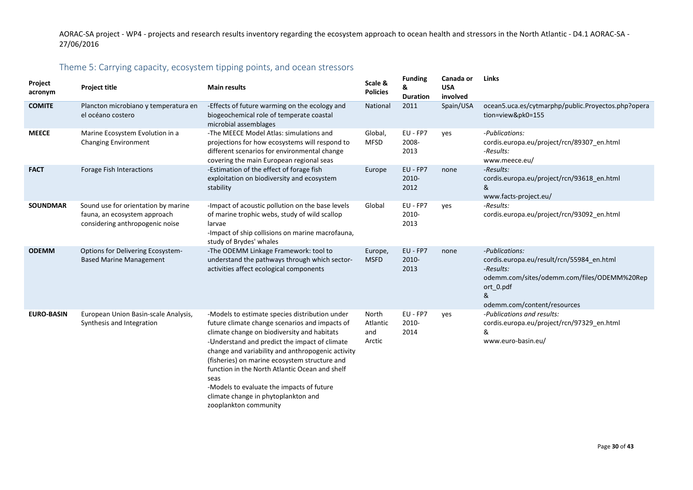### Theme 5: Carrying capacity, ecosystem tipping points, and ocean stressors

<span id="page-29-0"></span>

| Project<br>acronym | <b>Project title</b>                                                                                   | <b>Main results</b>                                                                                                                                                                                                                                                                                                                                                                                                                                                           | Scale &<br><b>Policies</b>         | <b>Funding</b><br>&<br><b>Duration</b> | Canada or<br><b>USA</b><br>involved | Links                                                                                                                                                                    |
|--------------------|--------------------------------------------------------------------------------------------------------|-------------------------------------------------------------------------------------------------------------------------------------------------------------------------------------------------------------------------------------------------------------------------------------------------------------------------------------------------------------------------------------------------------------------------------------------------------------------------------|------------------------------------|----------------------------------------|-------------------------------------|--------------------------------------------------------------------------------------------------------------------------------------------------------------------------|
| <b>COMITE</b>      | Plancton microbiano y temperatura en<br>el océano costero                                              | -Effects of future warming on the ecology and<br>biogeochemical role of temperate coastal<br>microbial assemblages                                                                                                                                                                                                                                                                                                                                                            | National                           | 2011                                   | Spain/USA                           | ocean5.uca.es/cytmarphp/public.Proyectos.php?opera<br>tion=view&pk0=155                                                                                                  |
| <b>MEECE</b>       | Marine Ecosystem Evolution in a<br><b>Changing Environment</b>                                         | -The MEECE Model Atlas: simulations and<br>projections for how ecosystems will respond to<br>different scenarios for environmental change<br>covering the main European regional seas                                                                                                                                                                                                                                                                                         | Global,<br><b>MFSD</b>             | EU - FP7<br>2008-<br>2013              | yes                                 | -Publications:<br>cordis.europa.eu/project/rcn/89307_en.html<br>-Results:<br>www.meece.eu/                                                                               |
| <b>FACT</b>        | Forage Fish Interactions                                                                               | -Estimation of the effect of forage fish<br>exploitation on biodiversity and ecosystem<br>stability                                                                                                                                                                                                                                                                                                                                                                           | Europe                             | EU - FP7<br>2010-<br>2012              | none                                | -Results:<br>cordis.europa.eu/project/rcn/93618_en.html<br>&<br>www.facts-project.eu/                                                                                    |
| <b>SOUNDMAR</b>    | Sound use for orientation by marine<br>fauna, an ecosystem approach<br>considering anthropogenic noise | -Impact of acoustic pollution on the base levels<br>of marine trophic webs, study of wild scallop<br>larvae<br>-Impact of ship collisions on marine macrofauna,<br>study of Brydes' whales                                                                                                                                                                                                                                                                                    | Global                             | EU - FP7<br>2010-<br>2013              | yes                                 | -Results:<br>cordis.europa.eu/project/rcn/93092_en.html                                                                                                                  |
| <b>ODEMM</b>       | Options for Delivering Ecosystem-<br><b>Based Marine Management</b>                                    | -The ODEMM Linkage Framework: tool to<br>understand the pathways through which sector-<br>activities affect ecological components                                                                                                                                                                                                                                                                                                                                             | Europe,<br><b>MSFD</b>             | EU - FP7<br>2010-<br>2013              | none                                | -Publications:<br>cordis.europa.eu/result/rcn/55984_en.html<br>-Results:<br>odemm.com/sites/odemm.com/files/ODEMM%20Rep<br>ort 0.pdf<br>&<br>odemm.com/content/resources |
| <b>EURO-BASIN</b>  | European Union Basin-scale Analysis,<br>Synthesis and Integration                                      | -Models to estimate species distribution under<br>future climate change scenarios and impacts of<br>climate change on biodiversity and habitats<br>-Understand and predict the impact of climate<br>change and variability and anthropogenic activity<br>(fisheries) on marine ecosystem structure and<br>function in the North Atlantic Ocean and shelf<br>seas<br>-Models to evaluate the impacts of future<br>climate change in phytoplankton and<br>zooplankton community | North<br>Atlantic<br>and<br>Arctic | EU - FP7<br>2010-<br>2014              | yes                                 | -Publications and results:<br>cordis.europa.eu/project/rcn/97329_en.html<br>&<br>www.euro-basin.eu/                                                                      |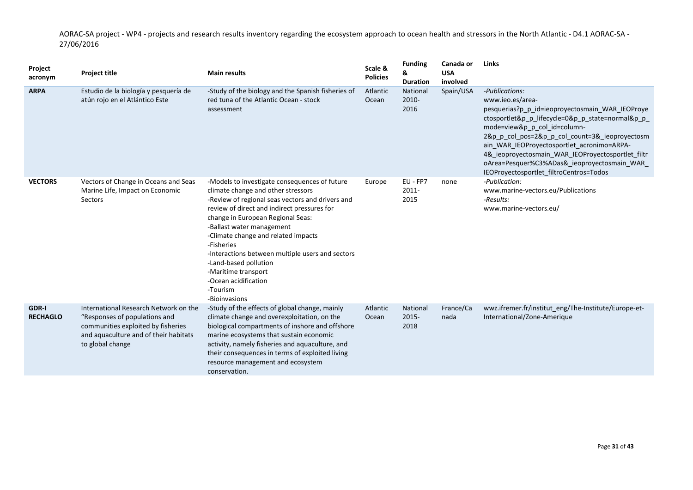| Project<br>acronym              | <b>Project title</b>                                                                                                                                                      | <b>Main results</b>                                                                                                                                                                                                                                                                                                                                                                                                                                                    | Scale &<br><b>Policies</b> | <b>Funding</b><br>&<br><b>Duration</b> | Canada or<br><b>USA</b><br>involved | Links                                                                                                                                                                                                                                                                                                                                                                                                                    |
|---------------------------------|---------------------------------------------------------------------------------------------------------------------------------------------------------------------------|------------------------------------------------------------------------------------------------------------------------------------------------------------------------------------------------------------------------------------------------------------------------------------------------------------------------------------------------------------------------------------------------------------------------------------------------------------------------|----------------------------|----------------------------------------|-------------------------------------|--------------------------------------------------------------------------------------------------------------------------------------------------------------------------------------------------------------------------------------------------------------------------------------------------------------------------------------------------------------------------------------------------------------------------|
| <b>ARPA</b>                     | Estudio de la biología y pesquería de<br>atún rojo en el Atlántico Este                                                                                                   | -Study of the biology and the Spanish fisheries of<br>red tuna of the Atlantic Ocean - stock<br>assessment                                                                                                                                                                                                                                                                                                                                                             | Atlantic<br>Ocean          | National<br>2010-<br>2016              | Spain/USA                           | -Publications:<br>www.ieo.es/area-<br>pesquerias?p p id=ieoproyectosmain WAR IEOProye<br>ctosportlet&p p lifecycle=0&p p state=normal&p p<br>mode=view&p_p_col_id=column-<br>2&p_p_col_pos=2&p_p_col_count=3&_ieoproyectosm<br>ain_WAR_IEOProyectosportlet_acronimo=ARPA-<br>4&_ieoproyectosmain_WAR_IEOProyectosportlet_filtr<br>oArea=Pesquer%C3%ADas& ieoproyectosmain WAR<br>IEOProyectosportlet_filtroCentros=Todos |
| <b>VECTORS</b>                  | Vectors of Change in Oceans and Seas<br>Marine Life, Impact on Economic<br>Sectors                                                                                        | -Models to investigate consequences of future<br>climate change and other stressors<br>-Review of regional seas vectors and drivers and<br>review of direct and indirect pressures for<br>change in European Regional Seas:<br>-Ballast water management<br>-Climate change and related impacts<br>-Fisheries<br>-Interactions between multiple users and sectors<br>-Land-based pollution<br>-Maritime transport<br>-Ocean acidification<br>-Tourism<br>-Bioinvasions | Europe                     | EU - FP7<br>2011-<br>2015              | none                                | -Publication:<br>www.marine-vectors.eu/Publications<br>-Results:<br>www.marine-vectors.eu/                                                                                                                                                                                                                                                                                                                               |
| <b>GDR-I</b><br><b>RECHAGLO</b> | International Research Network on the<br>"Responses of populations and<br>communities exploited by fisheries<br>and aquaculture and of their habitats<br>to global change | -Study of the effects of global change, mainly<br>climate change and overexploitation, on the<br>biological compartments of inshore and offshore<br>marine ecosystems that sustain economic<br>activity, namely fisheries and aquaculture, and<br>their consequences in terms of exploited living<br>resource management and ecosystem<br>conservation.                                                                                                                | Atlantic<br>Ocean          | National<br>$2015 -$<br>2018           | France/Ca<br>nada                   | wwz.ifremer.fr/institut_eng/The-Institute/Europe-et-<br>International/Zone-Amerique                                                                                                                                                                                                                                                                                                                                      |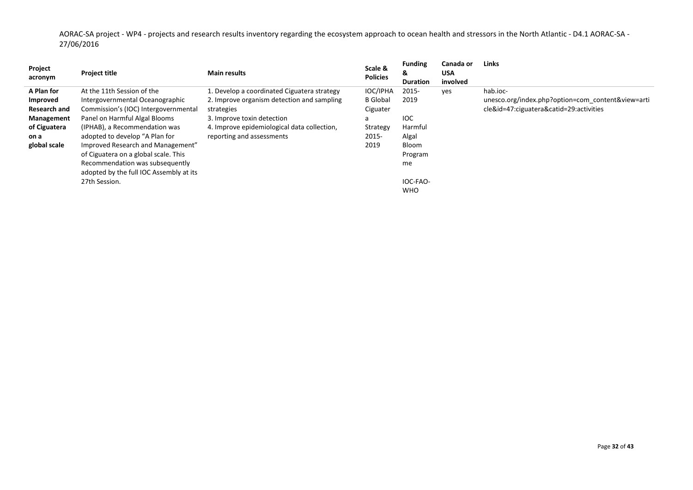| Project<br>acronym                                                   | <b>Project title</b>                                                                                                                                                                                       | <b>Main results</b>                                                                                                                                                                  | Scale &<br><b>Policies</b>                                      | <b>Funding</b><br>୪.<br><b>Duration</b>                   | Canada or<br><b>USA</b><br>involved | Links                                                                                                    |
|----------------------------------------------------------------------|------------------------------------------------------------------------------------------------------------------------------------------------------------------------------------------------------------|--------------------------------------------------------------------------------------------------------------------------------------------------------------------------------------|-----------------------------------------------------------------|-----------------------------------------------------------|-------------------------------------|----------------------------------------------------------------------------------------------------------|
| A Plan for<br>Improved<br>Research and<br>Management<br>of Ciguatera | At the 11th Session of the<br>Intergovernmental Oceanographic<br>Commission's (IOC) Intergovernmental<br>Panel on Harmful Algal Blooms<br>(IPHAB), a Recommendation was                                    | 1. Develop a coordinated Ciguatera strategy<br>2. Improve organism detection and sampling<br>strategies<br>3. Improve toxin detection<br>4. Improve epidemiological data collection, | <b>IOC/IPHA</b><br><b>B</b> Global<br>Ciguater<br>a<br>Strategy | 2015-<br>2019<br><b>IOC</b><br>Harmful                    | yes                                 | hab.joc-<br>unesco.org/index.php?option=com_content&view=arti<br>cle&id=47:ciguatera&catid=29:activities |
| on a<br>global scale                                                 | adopted to develop "A Plan for<br>Improved Research and Management"<br>of Ciguatera on a global scale. This<br>Recommendation was subsequently<br>adopted by the full IOC Assembly at its<br>27th Session. | reporting and assessments                                                                                                                                                            | 2015-<br>2019                                                   | Algal<br>Bloom<br>Program<br>me<br>IOC-FAO-<br><b>WHO</b> |                                     |                                                                                                          |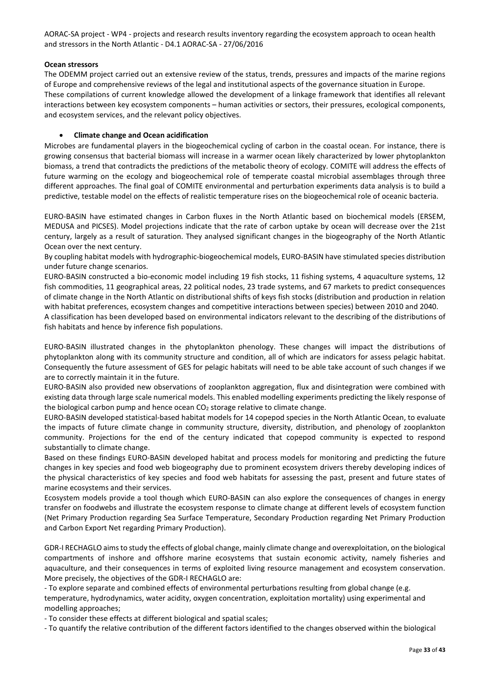#### **Ocean stressors**

The ODEMM project carried out an extensive review of the status, trends, pressures and impacts of the marine regions of Europe and comprehensive reviews of the legal and institutional aspects of the governance situation in Europe. These compilations of current knowledge allowed the development of a linkage framework that identifies all relevant interactions between key ecosystem components – human activities or sectors, their pressures, ecological components, and ecosystem services, and the relevant policy objectives.

#### • **Climate change and Ocean acidification**

Microbes are fundamental players in the biogeochemical cycling of carbon in the coastal ocean. For instance, there is growing consensus that bacterial biomass will increase in a warmer ocean likely characterized by lower phytoplankton biomass, a trend that contradicts the predictions of the metabolic theory of ecology. COMITE will address the effects of future warming on the ecology and biogeochemical role of temperate coastal microbial assemblages through three different approaches. The final goal of COMITE environmental and perturbation experiments data analysis is to build a predictive, testable model on the effects of realistic temperature rises on the biogeochemical role of oceanic bacteria.

EURO-BASIN have estimated changes in Carbon fluxes in the North Atlantic based on biochemical models (ERSEM, MEDUSA and PICSES). Model projections indicate that the rate of carbon uptake by ocean will decrease over the 21st century, largely as a result of saturation. They analysed significant changes in the biogeography of the North Atlantic Ocean over the next century.

By coupling habitat models with hydrographic-biogeochemical models, EURO-BASIN have stimulated species distribution under future change scenarios.

EURO-BASIN constructed a bio-economic model including 19 fish stocks, 11 fishing systems, 4 aquaculture systems, 12 fish commodities, 11 geographical areas, 22 political nodes, 23 trade systems, and 67 markets to predict consequences of climate change in the North Atlantic on distributional shifts of keys fish stocks (distribution and production in relation with habitat preferences, ecosystem changes and competitive interactions between species) between 2010 and 2040.

A classification has been developed based on environmental indicators relevant to the describing of the distributions of fish habitats and hence by inference fish populations.

EURO-BASIN illustrated changes in the phytoplankton phenology. These changes will impact the distributions of phytoplankton along with its community structure and condition, all of which are indicators for assess pelagic habitat. Consequently the future assessment of GES for pelagic habitats will need to be able take account of such changes if we are to correctly maintain it in the future.

EURO-BASIN also provided new observations of zooplankton aggregation, flux and disintegration were combined with existing data through large scale numerical models. This enabled modelling experiments predicting the likely response of the biological carbon pump and hence ocean CO<sub>2</sub> storage relative to climate change.

EURO-BASIN developed statistical-based habitat models for 14 copepod species in the North Atlantic Ocean, to evaluate the impacts of future climate change in community structure, diversity, distribution, and phenology of zooplankton community. Projections for the end of the century indicated that copepod community is expected to respond substantially to climate change.

Based on these findings EURO-BASIN developed habitat and process models for monitoring and predicting the future changes in key species and food web biogeography due to prominent ecosystem drivers thereby developing indices of the physical characteristics of key species and food web habitats for assessing the past, present and future states of marine ecosystems and their services.

Ecosystem models provide a tool though which EURO-BASIN can also explore the consequences of changes in energy transfer on foodwebs and illustrate the ecosystem response to climate change at different levels of ecosystem function (Net Primary Production regarding Sea Surface Temperature, Secondary Production regarding Net Primary Production and Carbon Export Net regarding Primary Production).

GDR-I RECHAGLO aims to study the effects of global change, mainly climate change and overexploitation, on the biological compartments of inshore and offshore marine ecosystems that sustain economic activity, namely fisheries and aquaculture, and their consequences in terms of exploited living resource management and ecosystem conservation. More precisely, the objectives of the GDR-I RECHAGLO are:

- To explore separate and combined effects of environmental perturbations resulting from global change (e.g. temperature, hydrodynamics, water acidity, oxygen concentration, exploitation mortality) using experimental and modelling approaches;

- To consider these effects at different biological and spatial scales;

- To quantify the relative contribution of the different factors identified to the changes observed within the biological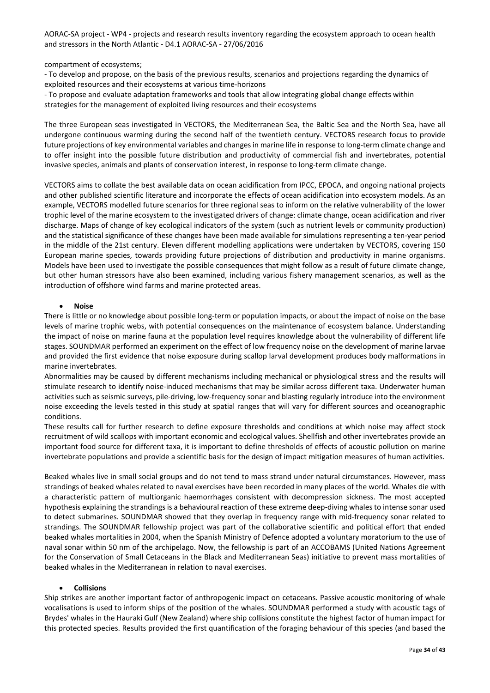compartment of ecosystems;

- To develop and propose, on the basis of the previous results, scenarios and projections regarding the dynamics of exploited resources and their ecosystems at various time-horizons

- To propose and evaluate adaptation frameworks and tools that allow integrating global change effects within strategies for the management of exploited living resources and their ecosystems

The three European seas investigated in VECTORS, the Mediterranean Sea, the Baltic Sea and the North Sea, have all undergone continuous warming during the second half of the twentieth century. VECTORS research focus to provide future projections of key environmental variables and changes in marine life in response to long-term climate change and to offer insight into the possible future distribution and productivity of commercial fish and invertebrates, potential invasive species, animals and plants of conservation interest, in response to long-term climate change.

VECTORS aims to collate the best available data on ocean acidification from IPCC, EPOCA, and ongoing national projects and other published scientific literature and incorporate the effects of ocean acidification into ecosystem models. As an example, VECTORS modelled future scenarios for three regional seas to inform on the relative vulnerability of the lower trophic level of the marine ecosystem to the investigated drivers of change: climate change, ocean acidification and river discharge. Maps of change of key ecological indicators of the system (such as nutrient levels or community production) and the statistical significance of these changes have been made available for simulations representing a ten-year period in the middle of the 21st century. Eleven different modelling applications were undertaken by VECTORS, covering 150 European marine species, towards providing future projections of distribution and productivity in marine organisms. Models have been used to investigate the possible consequences that might follow as a result of future climate change, but other human stressors have also been examined, including various fishery management scenarios, as well as the introduction of offshore wind farms and marine protected areas.

#### • **Noise**

There is little or no knowledge about possible long-term or population impacts, or about the impact of noise on the base levels of marine trophic webs, with potential consequences on the maintenance of ecosystem balance. Understanding the impact of noise on marine fauna at the population level requires knowledge about the vulnerability of different life stages. SOUNDMAR performed an experiment on the effect of low frequency noise on the development of marine larvae and provided the first evidence that noise exposure during scallop larval development produces body malformations in marine invertebrates.

Abnormalities may be caused by different mechanisms including mechanical or physiological stress and the results will stimulate research to identify noise-induced mechanisms that may be similar across different taxa. Underwater human activities such as seismic surveys, pile-driving, low-frequency sonar and blasting regularly introduce into the environment noise exceeding the levels tested in this study at spatial ranges that will vary for different sources and oceanographic conditions.

These results call for further research to define exposure thresholds and conditions at which noise may affect stock recruitment of wild scallops with important economic and ecological values. Shellfish and other invertebrates provide an important food source for different taxa, it is important to define thresholds of effects of acoustic pollution on marine invertebrate populations and provide a scientific basis for the design of impact mitigation measures of human activities.

Beaked whales live in small social groups and do not tend to mass strand under natural circumstances. However, mass strandings of beaked whales related to naval exercises have been recorded in many places of the world. Whales die with a characteristic pattern of multiorganic haemorrhages consistent with decompression sickness. The most accepted hypothesis explaining the strandings is a behavioural reaction of these extreme deep-diving whales to intense sonar used to detect submarines. SOUNDMAR showed that they overlap in frequency range with mid-frequency sonar related to strandings. The SOUNDMAR fellowship project was part of the collaborative scientific and political effort that ended beaked whales mortalities in 2004, when the Spanish Ministry of Defence adopted a voluntary moratorium to the use of naval sonar within 50 nm of the archipelago. Now, the fellowship is part of an ACCOBAMS (United Nations Agreement for the Conservation of Small Cetaceans in the Black and Mediterranean Seas) initiative to prevent mass mortalities of beaked whales in the Mediterranean in relation to naval exercises.

#### • **Collisions**

Ship strikes are another important factor of anthropogenic impact on cetaceans. Passive acoustic monitoring of whale vocalisations is used to inform ships of the position of the whales. SOUNDMAR performed a study with acoustic tags of Brydes' whales in the Hauraki Gulf (New Zealand) where ship collisions constitute the highest factor of human impact for this protected species. Results provided the first quantification of the foraging behaviour of this species (and based the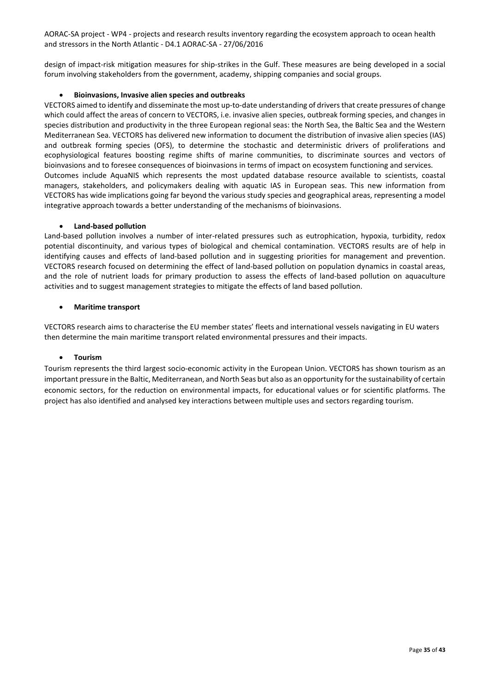design of impact-risk mitigation measures for ship-strikes in the Gulf. These measures are being developed in a social forum involving stakeholders from the government, academy, shipping companies and social groups.

#### • **Bioinvasions, Invasive alien species and outbreaks**

VECTORS aimed to identify and disseminate the most up-to-date understanding of drivers that create pressures of change which could affect the areas of concern to VECTORS, i.e. invasive alien species, outbreak forming species, and changes in species distribution and productivity in the three European regional seas: the North Sea, the Baltic Sea and the Western Mediterranean Sea. VECTORS has delivered new information to document the distribution of invasive alien species (IAS) and outbreak forming species (OFS), to determine the stochastic and deterministic drivers of proliferations and ecophysiological features boosting regime shifts of marine communities, to discriminate sources and vectors of bioinvasions and to foresee consequences of bioinvasions in terms of impact on ecosystem functioning and services. Outcomes include AquaNIS which represents the most updated database resource available to scientists, coastal managers, stakeholders, and policymakers dealing with aquatic IAS in European seas. This new information from VECTORS has wide implications going far beyond the various study species and geographical areas, representing a model integrative approach towards a better understanding of the mechanisms of bioinvasions.

#### • **Land-based pollution**

Land-based pollution involves a number of inter-related pressures such as eutrophication, hypoxia, turbidity, redox potential discontinuity, and various types of biological and chemical contamination. VECTORS results are of help in identifying causes and effects of land-based pollution and in suggesting priorities for management and prevention. VECTORS research focused on determining the effect of land-based pollution on population dynamics in coastal areas, and the role of nutrient loads for primary production to assess the effects of land-based pollution on aquaculture activities and to suggest management strategies to mitigate the effects of land based pollution.

#### • **Maritime transport**

VECTORS research aims to characterise the EU member states' fleets and international vessels navigating in EU waters then determine the main maritime transport related environmental pressures and their impacts.

#### • **Tourism**

Tourism represents the third largest socio-economic activity in the European Union. VECTORS has shown tourism as an important pressure in the Baltic, Mediterranean, and North Seas but also as an opportunity for the sustainability of certain economic sectors, for the reduction on environmental impacts, for educational values or for scientific platforms. The project has also identified and analysed key interactions between multiple uses and sectors regarding tourism.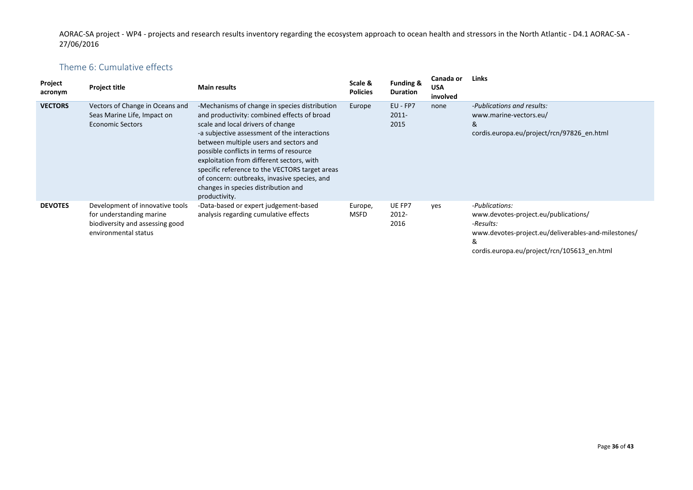# Theme 6: Cumulative effects

<span id="page-35-0"></span>

| Project<br>acronym | <b>Project title</b>                                                                                                   | <b>Main results</b>                                                                                                                                                                                                                                                                                                                                                                                                                                                           | Scale &<br><b>Policies</b> | <b>Funding &amp;</b><br><b>Duration</b> | Canada or<br><b>USA</b><br>involved | <b>Links</b>                                                                                                                                                                   |
|--------------------|------------------------------------------------------------------------------------------------------------------------|-------------------------------------------------------------------------------------------------------------------------------------------------------------------------------------------------------------------------------------------------------------------------------------------------------------------------------------------------------------------------------------------------------------------------------------------------------------------------------|----------------------------|-----------------------------------------|-------------------------------------|--------------------------------------------------------------------------------------------------------------------------------------------------------------------------------|
| <b>VECTORS</b>     | Vectors of Change in Oceans and<br>Seas Marine Life, Impact on<br><b>Economic Sectors</b>                              | -Mechanisms of change in species distribution<br>and productivity: combined effects of broad<br>scale and local drivers of change<br>-a subjective assessment of the interactions<br>between multiple users and sectors and<br>possible conflicts in terms of resource<br>exploitation from different sectors, with<br>specific reference to the VECTORS target areas<br>of concern: outbreaks, invasive species, and<br>changes in species distribution and<br>productivity. | Europe                     | EU - FP7<br>$2011 -$<br>2015            | none                                | -Publications and results:<br>www.marine-vectors.eu/<br>&<br>cordis.europa.eu/project/rcn/97826_en.html                                                                        |
| <b>DEVOTES</b>     | Development of innovative tools<br>for understanding marine<br>biodiversity and assessing good<br>environmental status | -Data-based or expert judgement-based<br>analysis regarding cumulative effects                                                                                                                                                                                                                                                                                                                                                                                                | Europe,<br><b>MSFD</b>     | UE FP7<br>2012-<br>2016                 | yes                                 | -Publications:<br>www.devotes-project.eu/publications/<br>-Results:<br>www.devotes-project.eu/deliverables-and-milestones/<br>&<br>cordis.europa.eu/project/rcn/105613_en.html |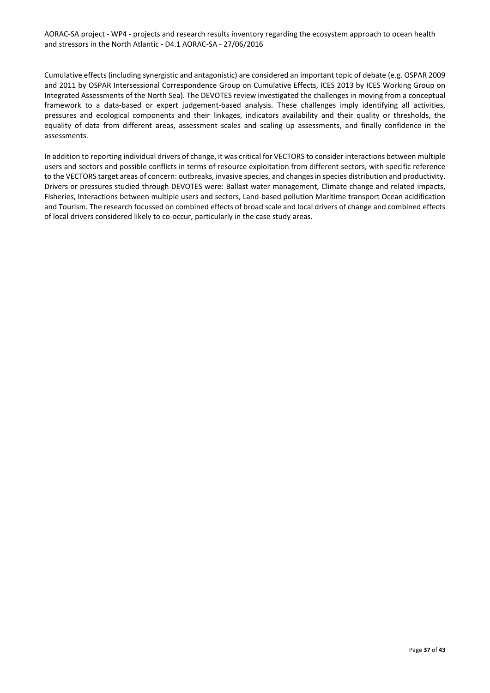Cumulative effects (including synergistic and antagonistic) are considered an important topic of debate (e.g. OSPAR 2009 and 2011 by OSPAR Intersessional Correspondence Group on Cumulative Effects, ICES 2013 by ICES Working Group on Integrated Assessments of the North Sea). The DEVOTES review investigated the challenges in moving from a conceptual framework to a data-based or expert judgement-based analysis. These challenges imply identifying all activities, pressures and ecological components and their linkages, indicators availability and their quality or thresholds, the equality of data from different areas, assessment scales and scaling up assessments, and finally confidence in the assessments.

In addition to reporting individual drivers of change, it was critical for VECTORS to consider interactions between multiple users and sectors and possible conflicts in terms of resource exploitation from different sectors, with specific reference to the VECTORS target areas of concern: outbreaks, invasive species, and changes in species distribution and productivity. Drivers or pressures studied through DEVOTES were: Ballast water management, Climate change and related impacts, Fisheries, Interactions between multiple users and sectors, Land-based pollution Maritime transport Ocean acidification and Tourism. The research focussed on combined effects of broad scale and local drivers of change and combined effects of local drivers considered likely to co-occur, particularly in the case study areas.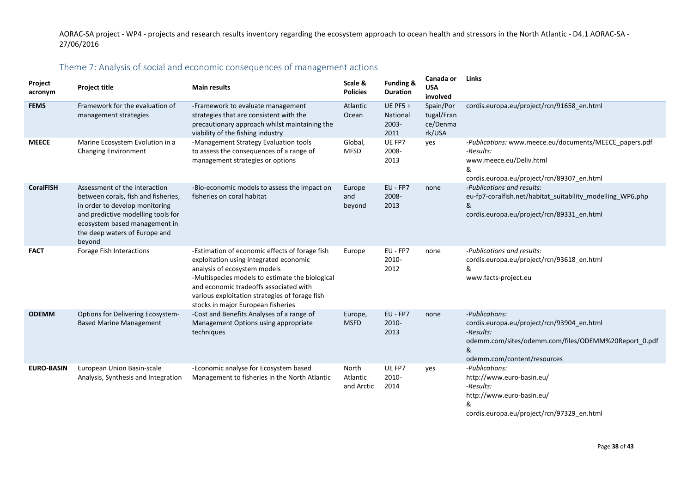# Theme 7: Analysis of social and economic consequences of management actions

<span id="page-37-0"></span>

| Project<br>acronym | <b>Project title</b>                                                                                                                                                                                                     | <b>Main results</b>                                                                                                                                                                                                                                                                                           | Scale &<br><b>Policies</b>      | <b>Funding &amp;</b><br><b>Duration</b>      | Canada or<br><b>USA</b><br>involved           | Links                                                                                                                                                                 |
|--------------------|--------------------------------------------------------------------------------------------------------------------------------------------------------------------------------------------------------------------------|---------------------------------------------------------------------------------------------------------------------------------------------------------------------------------------------------------------------------------------------------------------------------------------------------------------|---------------------------------|----------------------------------------------|-----------------------------------------------|-----------------------------------------------------------------------------------------------------------------------------------------------------------------------|
| <b>FEMS</b>        | Framework for the evaluation of<br>management strategies                                                                                                                                                                 | -Framework to evaluate management<br>strategies that are consistent with the<br>precautionary approach whilst maintaining the<br>viability of the fishing industry                                                                                                                                            | Atlantic<br>Ocean               | <b>UE PF5 +</b><br>National<br>2003-<br>2011 | Spain/Por<br>tugal/Fran<br>ce/Denma<br>rk/USA | cordis.europa.eu/project/rcn/91658_en.html                                                                                                                            |
| <b>MEECE</b>       | Marine Ecosystem Evolution in a<br><b>Changing Environment</b>                                                                                                                                                           | -Management Strategy Evaluation tools<br>to assess the consequences of a range of<br>management strategies or options                                                                                                                                                                                         | Global,<br>MFSD                 | UE FP7<br>2008-<br>2013                      | ves                                           | -Publications: www.meece.eu/documents/MEECE papers.pdf<br>-Results:<br>www.meece.eu/Deliv.html<br>&<br>cordis.europa.eu/project/rcn/89307_en.html                     |
| <b>CoralFISH</b>   | Assessment of the interaction<br>between corals, fish and fisheries,<br>in order to develop monitoring<br>and predictive modelling tools for<br>ecosystem based management in<br>the deep waters of Europe and<br>beyond | -Bio-economic models to assess the impact on<br>fisheries on coral habitat                                                                                                                                                                                                                                    | Europe<br>and<br>beyond         | EU - FP7<br>2008-<br>2013                    | none                                          | -Publications and results:<br>eu-fp7-coralfish.net/habitat_suitability_modelling_WP6.php<br>&<br>cordis.europa.eu/project/rcn/89331 en.html                           |
| <b>FACT</b>        | Forage Fish Interactions                                                                                                                                                                                                 | -Estimation of economic effects of forage fish<br>exploitation using integrated economic<br>analysis of ecosystem models<br>-Multispecies models to estimate the biological<br>and economic tradeoffs associated with<br>various exploitation strategies of forage fish<br>stocks in major European fisheries | Europe                          | EU - FP7<br>2010-<br>2012                    | none                                          | -Publications and results:<br>cordis.europa.eu/project/rcn/93618_en.html<br>&<br>www.facts-project.eu                                                                 |
| <b>ODEMM</b>       | Options for Delivering Ecosystem-<br><b>Based Marine Management</b>                                                                                                                                                      | -Cost and Benefits Analyses of a range of<br>Management Options using appropriate<br>techniques                                                                                                                                                                                                               | Europe,<br><b>MSFD</b>          | EU - FP7<br>2010-<br>2013                    | none                                          | -Publications:<br>cordis.europa.eu/project/rcn/93904 en.html<br>-Results:<br>odemm.com/sites/odemm.com/files/ODEMM%20Report 0.pdf<br>&<br>odemm.com/content/resources |
| <b>EURO-BASIN</b>  | European Union Basin-scale<br>Analysis, Synthesis and Integration                                                                                                                                                        | -Economic analyse for Ecosystem based<br>Management to fisheries in the North Atlantic                                                                                                                                                                                                                        | North<br>Atlantic<br>and Arctic | UE FP7<br>2010-<br>2014                      | yes                                           | -Publications:<br>http://www.euro-basin.eu/<br>-Results:<br>http://www.euro-basin.eu/<br>&<br>cordis.europa.eu/project/rcn/97329 en.html                              |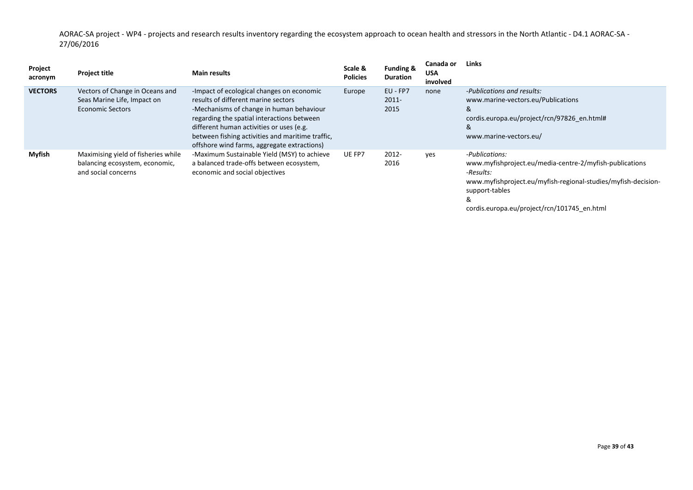| Project<br>acronym | <b>Project title</b>                                                                         | <b>Main results</b>                                                                                                                                                                                                                                                                                                       | Scale &<br><b>Policies</b> | <b>Funding &amp;</b><br><b>Duration</b> | Canada or<br><b>USA</b><br>involved | Links                                                                                                                                                                          |
|--------------------|----------------------------------------------------------------------------------------------|---------------------------------------------------------------------------------------------------------------------------------------------------------------------------------------------------------------------------------------------------------------------------------------------------------------------------|----------------------------|-----------------------------------------|-------------------------------------|--------------------------------------------------------------------------------------------------------------------------------------------------------------------------------|
| <b>VECTORS</b>     | Vectors of Change in Oceans and<br>Seas Marine Life, Impact on<br><b>Economic Sectors</b>    | -Impact of ecological changes on economic<br>results of different marine sectors<br>-Mechanisms of change in human behaviour<br>regarding the spatial interactions between<br>different human activities or uses (e.g.<br>between fishing activities and maritime traffic,<br>offshore wind farms, aggregate extractions) | Europe                     | EU - FP7<br>$2011 -$<br>2015            | none                                | -Publications and results:<br>www.marine-vectors.eu/Publications<br>&<br>cordis.europa.eu/project/rcn/97826 en.html#<br>&<br>www.marine-vectors.eu/                            |
| Myfish             | Maximising yield of fisheries while<br>balancing ecosystem, economic,<br>and social concerns | -Maximum Sustainable Yield (MSY) to achieve<br>a balanced trade-offs between ecosystem,<br>economic and social objectives                                                                                                                                                                                                 | UE FP7                     | 2012-<br>2016                           | ves                                 | -Publications:<br>www.myfishproject.eu/media-centre-2/myfish-publications<br>-Results:<br>www.myfishproject.eu/myfish-regional-studies/myfish-decision-<br>support-tables<br>& |

cordis.europa.eu/project/rcn/101745\_en.html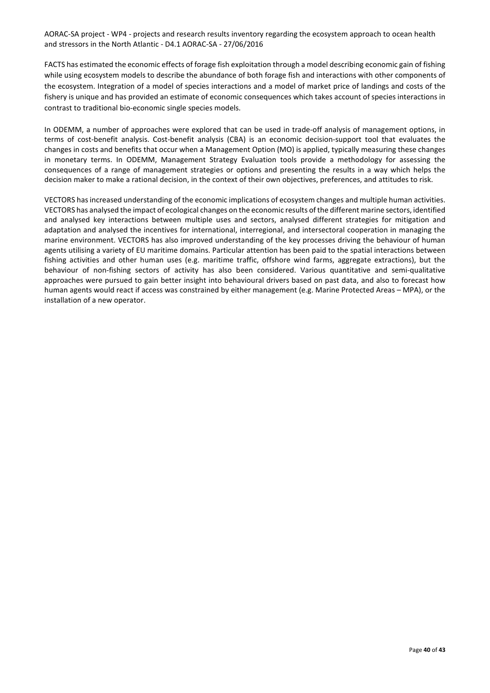FACTS has estimated the economic effects of forage fish exploitation through a model describing economic gain of fishing while using ecosystem models to describe the abundance of both forage fish and interactions with other components of the ecosystem. Integration of a model of species interactions and a model of market price of landings and costs of the fishery is unique and has provided an estimate of economic consequences which takes account of species interactions in contrast to traditional bio-economic single species models.

In ODEMM, a number of approaches were explored that can be used in trade-off analysis of management options, in terms of cost-benefit analysis. Cost-benefit analysis (CBA) is an economic decision-support tool that evaluates the changes in costs and benefits that occur when a Management Option (MO) is applied, typically measuring these changes in monetary terms. In ODEMM, Management Strategy Evaluation tools provide a methodology for assessing the consequences of a range of management strategies or options and presenting the results in a way which helps the decision maker to make a rational decision, in the context of their own objectives, preferences, and attitudes to risk.

VECTORS has increased understanding of the economic implications of ecosystem changes and multiple human activities. VECTORS has analysed the impact of ecological changes on the economic results of the different marine sectors, identified and analysed key interactions between multiple uses and sectors, analysed different strategies for mitigation and adaptation and analysed the incentives for international, interregional, and intersectoral cooperation in managing the marine environment. VECTORS has also improved understanding of the key processes driving the behaviour of human agents utilising a variety of EU maritime domains. Particular attention has been paid to the spatial interactions between fishing activities and other human uses (e.g. maritime traffic, offshore wind farms, aggregate extractions), but the behaviour of non-fishing sectors of activity has also been considered. Various quantitative and semi-qualitative approaches were pursued to gain better insight into behavioural drivers based on past data, and also to forecast how human agents would react if access was constrained by either management (e.g. Marine Protected Areas – MPA), or the installation of a new operator.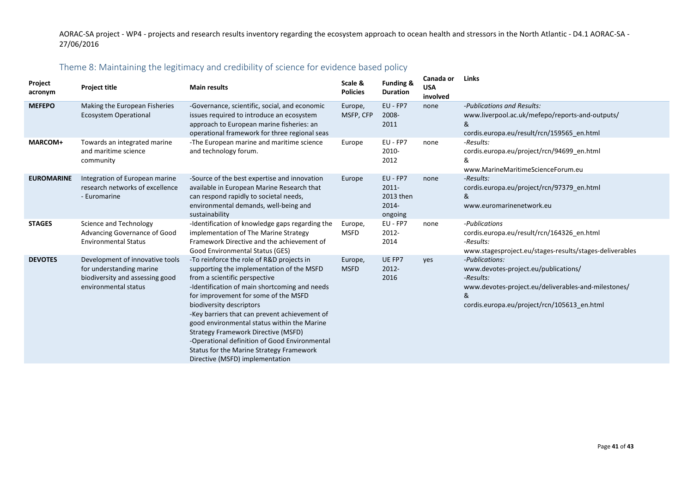# Theme 8: Maintaining the legitimacy and credibility of science for evidence based policy

<span id="page-40-0"></span>

| Project<br>acronym | <b>Project title</b>                                                                                                   | <b>Main results</b>                                                                                                                                                                                                                                                                                                                                                                                                                                                                                                 | Scale &<br><b>Policies</b> | <b>Funding &amp;</b><br><b>Duration</b>               | Canada or<br><b>USA</b><br>involved | Links                                                                                                                                                                          |
|--------------------|------------------------------------------------------------------------------------------------------------------------|---------------------------------------------------------------------------------------------------------------------------------------------------------------------------------------------------------------------------------------------------------------------------------------------------------------------------------------------------------------------------------------------------------------------------------------------------------------------------------------------------------------------|----------------------------|-------------------------------------------------------|-------------------------------------|--------------------------------------------------------------------------------------------------------------------------------------------------------------------------------|
| <b>MEFEPO</b>      | Making the European Fisheries<br><b>Ecosystem Operational</b>                                                          | -Governance, scientific, social, and economic<br>issues required to introduce an ecosystem<br>approach to European marine fisheries: an<br>operational framework for three regional seas                                                                                                                                                                                                                                                                                                                            | Europe,<br>MSFP, CFP       | EU - FP7<br>2008-<br>2011                             | none                                | -Publications and Results:<br>www.liverpool.ac.uk/mefepo/reports-and-outputs/<br>&<br>cordis.europa.eu/result/rcn/159565 en.html                                               |
| <b>MARCOM+</b>     | Towards an integrated marine<br>and maritime science<br>community                                                      | -The European marine and maritime science<br>and technology forum.                                                                                                                                                                                                                                                                                                                                                                                                                                                  | Europe                     | EU - FP7<br>2010-<br>2012                             | none                                | -Results:<br>cordis.europa.eu/project/rcn/94699 en.html<br>&<br>www.MarineMaritimeScienceForum.eu                                                                              |
| <b>EUROMARINE</b>  | Integration of European marine<br>research networks of excellence<br>- Euromarine                                      | -Source of the best expertise and innovation<br>available in European Marine Research that<br>can respond rapidly to societal needs,<br>environmental demands, well-being and<br>sustainability                                                                                                                                                                                                                                                                                                                     | Europe                     | EU - FP7<br>$2011 -$<br>2013 then<br>2014-<br>ongoing | none                                | -Results:<br>cordis.europa.eu/project/rcn/97379_en.html<br>&<br>www.euromarinenetwork.eu                                                                                       |
| <b>STAGES</b>      | Science and Technology<br>Advancing Governance of Good<br><b>Environmental Status</b>                                  | -Identification of knowledge gaps regarding the<br>implementation of The Marine Strategy<br>Framework Directive and the achievement of<br>Good Environmental Status (GES)                                                                                                                                                                                                                                                                                                                                           | Europe,<br><b>MSFD</b>     | EU - FP7<br>2012-<br>2014                             | none                                | -Publications<br>cordis.europa.eu/result/rcn/164326_en.html<br>-Results:<br>www.stagesproject.eu/stages-results/stages-deliverables                                            |
| <b>DEVOTES</b>     | Development of innovative tools<br>for understanding marine<br>biodiversity and assessing good<br>environmental status | -To reinforce the role of R&D projects in<br>supporting the implementation of the MSFD<br>from a scientific perspective<br>-Identification of main shortcoming and needs<br>for improvement for some of the MSFD<br>biodiversity descriptors<br>-Key barriers that can prevent achievement of<br>good environmental status within the Marine<br>Strategy Framework Directive (MSFD)<br>-Operational definition of Good Environmental<br>Status for the Marine Strategy Framework<br>Directive (MSFD) implementation | Europe,<br><b>MSFD</b>     | UE FP7<br>2012-<br>2016                               | yes                                 | -Publications:<br>www.devotes-project.eu/publications/<br>-Results:<br>www.devotes-project.eu/deliverables-and-milestones/<br>&<br>cordis.europa.eu/project/rcn/105613 en.html |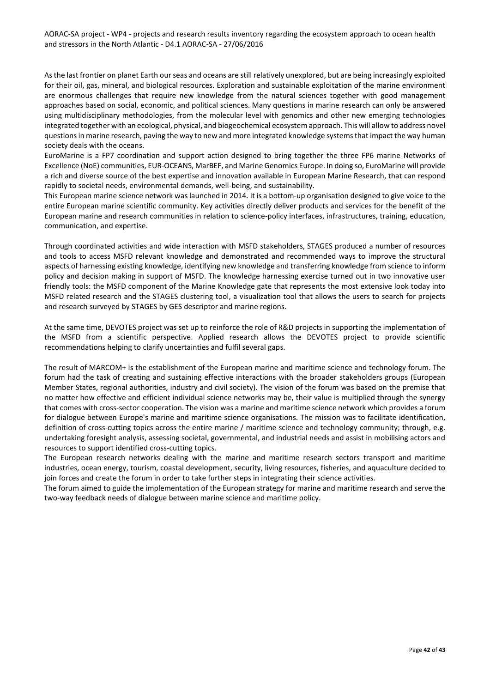As the last frontier on planet Earth our seas and oceans are still relatively unexplored, but are being increasingly exploited for their oil, gas, mineral, and biological resources. Exploration and sustainable exploitation of the marine environment are enormous challenges that require new knowledge from the natural sciences together with good management approaches based on social, economic, and political sciences. Many questions in marine research can only be answered using multidisciplinary methodologies, from the molecular level with genomics and other new emerging technologies integrated together with an ecological, physical, and biogeochemical ecosystem approach. This will allow to address novel questions in marine research, paving the way to new and more integrated knowledge systems that impact the way human society deals with the oceans.

EuroMarine is a FP7 coordination and support action designed to bring together the three FP6 marine Networks of Excellence (NoE) communities, EUR-OCEANS, MarBEF, and Marine Genomics Europe. In doing so, EuroMarine will provide a rich and diverse source of the best expertise and innovation available in European Marine Research, that can respond rapidly to societal needs, environmental demands, well-being, and sustainability.

This European marine science network was launched in 2014. It is a bottom-up organisation designed to give voice to the entire European marine scientific community. Key activities directly deliver products and services for the benefit of the European marine and research communities in relation to science-policy interfaces, infrastructures, training, education, communication, and expertise.

Through coordinated activities and wide interaction with MSFD stakeholders, STAGES produced a number of resources and tools to access MSFD relevant knowledge and demonstrated and recommended ways to improve the structural aspects of harnessing existing knowledge, identifying new knowledge and transferring knowledge from science to inform policy and decision making in support of MSFD. The knowledge harnessing exercise turned out in two innovative user friendly tools: the MSFD component of the Marine Knowledge gate that represents the most extensive look today into MSFD related research and the STAGES clustering tool, a visualization tool that allows the users to search for projects and research surveyed by STAGES by GES descriptor and marine regions.

At the same time, DEVOTES project was set up to reinforce the role of R&D projects in supporting the implementation of the MSFD from a scientific perspective. Applied research allows the DEVOTES project to provide scientific recommendations helping to clarify uncertainties and fulfil several gaps.

The result of MARCOM+ is the establishment of the European marine and maritime science and technology forum. The forum had the task of creating and sustaining effective interactions with the broader stakeholders groups (European Member States, regional authorities, industry and civil society). The vision of the forum was based on the premise that no matter how effective and efficient individual science networks may be, their value is multiplied through the synergy that comes with cross-sector cooperation. The vision was a marine and maritime science network which provides a forum for dialogue between Europe's marine and maritime science organisations. The mission was to facilitate identification, definition of cross-cutting topics across the entire marine / maritime science and technology community; through, e.g. undertaking foresight analysis, assessing societal, governmental, and industrial needs and assist in mobilising actors and resources to support identified cross-cutting topics.

The European research networks dealing with the marine and maritime research sectors transport and maritime industries, ocean energy, tourism, coastal development, security, living resources, fisheries, and aquaculture decided to join forces and create the forum in order to take further steps in integrating their science activities.

The forum aimed to guide the implementation of the European strategy for marine and maritime research and serve the two-way feedback needs of dialogue between marine science and maritime policy.